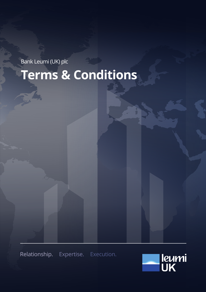Bank Leumi (UK) plc **Terms & Conditions**

Relationship. Expertise. Execution.

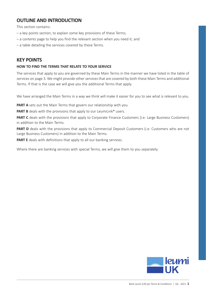# **OUTLINE AND INTRODUCTION**

This section contains:

- a key points section, to explain some key provisions of these Terms;
- a contents page to help you find the relevant section when you need it; and
- a table detailing the services covered by these Terms.

# **KEY POINTS**

#### **HOW TO FIND THE TERMS THAT RELATE TO YOUR SERVICE**

The services that apply to you are governed by these Main Terms in the manner we have listed in the table of services on page 3. We might provide other services that are covered by both these Main Terms and additional Terms. If that is the case we will give you the additional Terms that apply.

We have arranged the Main Terms in a way we think will make it easier for you to see what is relevant to you.

**PART A** sets out the Main Terms that govern our relationship with you.

**PART B** deals with the provisions that apply to our LeumiLink<sup>®</sup> users.

**PART C** deals with the provisions that apply to Corporate Finance Customers (i.e. Large Business Customers) in addition to the Main Terms.

**PART D** deals with the provisions that apply to Commercial Deposit Customers (i.e. Customers who are not Large Business Customers) in addition to the Main Terms.

**PART E** deals with definitions that apply to all our banking services.

Where there are banking services with special Terms, we will give them to you separately.

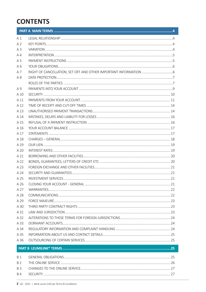# **CONTENTS**

| A1             |  |  |  |  |  |  |
|----------------|--|--|--|--|--|--|
| A <sub>2</sub> |  |  |  |  |  |  |
| A3             |  |  |  |  |  |  |
| A <sub>4</sub> |  |  |  |  |  |  |
| A 5            |  |  |  |  |  |  |
| A6             |  |  |  |  |  |  |
| A 7            |  |  |  |  |  |  |
| Α8             |  |  |  |  |  |  |
|                |  |  |  |  |  |  |
| A 9            |  |  |  |  |  |  |
| A 10           |  |  |  |  |  |  |
| A 11           |  |  |  |  |  |  |
| A 12           |  |  |  |  |  |  |
| A 13           |  |  |  |  |  |  |
| A 14           |  |  |  |  |  |  |
| A 15           |  |  |  |  |  |  |
| A 16           |  |  |  |  |  |  |
| A 17           |  |  |  |  |  |  |
| A 18           |  |  |  |  |  |  |
| A 19           |  |  |  |  |  |  |
| A 20           |  |  |  |  |  |  |
| A 21           |  |  |  |  |  |  |
| A 22           |  |  |  |  |  |  |
| A 23           |  |  |  |  |  |  |
| A 24           |  |  |  |  |  |  |
| A 25           |  |  |  |  |  |  |
| A 26           |  |  |  |  |  |  |
| A 27           |  |  |  |  |  |  |
| A 28           |  |  |  |  |  |  |
| A 29           |  |  |  |  |  |  |
| A 30           |  |  |  |  |  |  |
| A 31           |  |  |  |  |  |  |
| A 32           |  |  |  |  |  |  |
| A 33           |  |  |  |  |  |  |
| A 34           |  |  |  |  |  |  |
| A 35           |  |  |  |  |  |  |
| A 36           |  |  |  |  |  |  |
|                |  |  |  |  |  |  |
| <b>B</b> 1     |  |  |  |  |  |  |
| B <sub>2</sub> |  |  |  |  |  |  |
| <b>B3</b>      |  |  |  |  |  |  |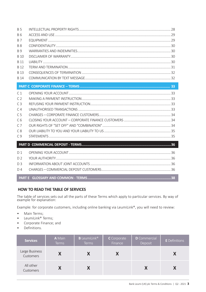| B 5            |  |
|----------------|--|
| <b>B6</b>      |  |
| <b>B7</b>      |  |
| <b>B</b> 8     |  |
| <b>B</b> 9     |  |
| <b>B</b> 10    |  |
| <b>B</b> 11    |  |
| <b>B</b> 12    |  |
| <b>B</b> 13    |  |
| <b>B</b> 14    |  |
|                |  |
| C <sub>1</sub> |  |
| C <sub>2</sub> |  |
| C <sub>3</sub> |  |
| C <sub>4</sub> |  |
| C <sub>5</sub> |  |
| C <sub>6</sub> |  |
| C <sub>7</sub> |  |
| C.8            |  |
| C.9            |  |
|                |  |
| D <sub>1</sub> |  |
| D <sub>2</sub> |  |
| D <sub>3</sub> |  |
| D <sub>4</sub> |  |
|                |  |

# HOW TO READ THE TABLE OF SERVICES

The table of services sets out all the parts of these Terms which apply to particular services. By way of example for explanation:

Example: for corporate customers, including online banking via LeumiLink®, you will need to review:

- Main Terms;  $\ddot{\phantom{a}}$
- LeumiLink® Terms;  $\bullet$
- Corporate Finance; and  $\bullet$
- Definitions.  $\bullet$

| <b>Services</b>             | A Main<br><b>Terms</b> | <b>B</b> LeumiLink <sup>®</sup><br><b>Terms</b> | C Corporate<br>Finance | <b>D</b> Commercial<br>Deposit | <b>E</b> Definitions |
|-----------------------------|------------------------|-------------------------------------------------|------------------------|--------------------------------|----------------------|
| Large Business<br>Customers |                        |                                                 |                        |                                |                      |
| All other<br>Customers      |                        |                                                 |                        |                                |                      |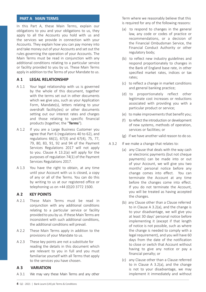# **PART A MAIN TERMS**

In this Part A, these Main Terms, explain our obligations to you and your obligations to us, they apply to all the Accounts you hold with us and the services we provide in connection with your Accounts. They explain how you can pay money into and take money out of your Accounts and set out the rules governing the operation of your Accounts. The Main Terms must be read in conjunction with any additional conditions relating to a particular service or facility provided to you by us. These Main Terms apply in addition to the Terms of your Mandate to us.

#### **A 1 LEGAL RELATIONSHIP**

- A 1.1 Your legal relationship with us is governed by the whole of this document, together with the terms set out in other documents which we give you, such as your Application Form, Mandate(s), letters relating to your overdraft facility(ies) or other documents setting out our interest rates and charges and those relating to specific financial products (together, the "**Terms**").
- A 1.2 If you are a Large Business Customer you agree that Part 6 (regulations 40 to 62), and regulations 66(1), 67(3) and 67(4), 75, 77, 79, 80, 83, 91, 92 and 94 of the Payment Services Regulations 2017 will not apply to you. Clause A 13.2(a) will apply for the purposes of regulation 74(1) of the Payment Services Regulations 2017.
- A 1.3 You have the right to obtain, at any time until your Account with us is closed, a copy of any or all of the Terms. You can do this by writing to us at our registered office or telephoning us on +44 (0)20 3772 1500.

# **A 2 KEY POINTS**

- A 2.1 These Main Terms must be read in conjunction with any additional conditions relating to a particular service or facility provided to you by us. If these Main Terms are inconsistent with such additional conditions, the additional conditions will prevail.
- A 2.2 These Main Terms apply in addition to the provisions of your Mandate to us.
- A 2.3 These key points are not a substitute for reading the details in this document which are relevant to you in full and you must familiarise yourself with all Terms that apply to the services you have chosen.

#### **A 3 VARIATION**

A 3.1 We may vary these Main Terms and any other

Term where we reasonably believe that this is required for any of the following reasons:

- (a) to respond to changes in the general law, any code or codes of practice or recommendations, or a decision of the Financial Ombudsman Service, the Financial Conduct Authority or other regulatory body;
- (b) to reflect new industry guidelines and respond proportionately to changes in the Bank of England base rate, in other specified market rates, indices or tax rates;
- (c) to reflect a change in market conditions and general banking practice;
- (d) to proportionately reflect other legitimate cost increases or reductions associated with providing you with a particular product or service;
- (e) to make improvements that benefit you;
- (f) to reflect the introduction or development of new systems, methods of operation, services or facilities; or
- (g) if we have another valid reason to do so.
- A 3.2 If we make a change that relates to:
	- (a) any Clause that deals with the way cash or electronic payments (but not cheque payments) can be made into or out of your Account, we will give you two months' personal notice before any change comes into effect. You can terminate the Account at any time before the changes come into effect. If you do not terminate the Account, you will be treated as having accepted the changes.
	- (b) any Clause other than a Clause referred to in Clause A 3.2(a), and the change is to your disadvantage, we will give you at least 30 days' personal notice before implementing it (except if that length of notice is not possible, such as where the change is needed to comply with a legal requirement), and you will have 60 days from the date of the notification to close or switch that Account without having to give any notice or pay a financial penalty; or
	- (c) any Clause other than a Clause referred to in Clause A 3.2(a), and the change is not to your disadvantage, we may implement it immediately and without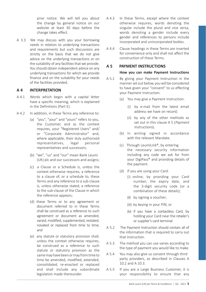prior notice. We will tell you about the change by general notice on our website at least 30 days before the change takes effect.

A 3.3 We may discuss with you your borrowing needs in relation to underlying transactions and requirements but such discussions are strictly on the basis that we do not give advice on the underlying transactions or on the suitability of any facilities that we provide. You should obtain independent advice on any underlying transactions for which we provide finance and on the suitability for your needs of the facilities provided.

### **A 4 INTERPRETATION**

- A 4.1 Words which begin with a capital letter have a specific meaning, which is explained in the Definitions (Part E).
- A 4.2 In addition, in these Terms any reference to:
	- (a) "you", "your" and "yours" refers to you, the Customer, and as the context requires, your "Registered Users" and/ or "Corporate Administrator" and, where applicable, their duly authorised representatives, legal personal representatives and successors;
	- (b) "we", "us" and "our" mean Bank Leumi (UK) plc and our successors and assigns;
	- (c) a Clause or a Schedule is, unless the context otherwise requires, a reference to a clause of, or a schedule to, these Terms and any reference to a sub-clause is, unless otherwise stated, a reference to the sub-clause of the Clause in which the reference appears;
	- (d) these Terms or to any agreement or document referred to in these Terms shall be construed as a reference to such agreement or document as amended, varied, modified, supplemented, restated, novated or replaced from time to time; and
	- (e) any statute or statutory provision shall, unless the context otherwise requires, be construed as a reference to such statute or statutory provision as the same may have been or may from time to time be amended, modified, extended, consolidated, re-enacted or replaced and shall include any subordinate legislation made thereunder.
- A 4.3 In these Terms, except where the context otherwise requires, words denoting the singular include the plural and vice versa, words denoting a gender include every gender and references to persons include incorporated and unincorporated bodies.
- A 4.4 Clause headings in these Terms are inserted for convenience only and shall not affect the construction of these Terms.

# **A 5 PAYMENT INSTRUCTIONS**

#### **How you can make Payment Instructions**

- A 5.1 By giving your Payment Instruction in the manner set out below, you will be considered to have given your "consent" to us effecting your Payment Instruction.
	- (a) You may give a Payment Instruction:
		- (i) by e-mail from the latest email address we have on record;
		- (ii) by any of the other methods as set out in this clause A 5 (*Payment*) Instructions).
	- (b) In writing signed in accordance with the relevant Mandate.
	- $(c)$  Through Leumilink<sup>®</sup> by entering the necessary security information including any code we ask for from your DigiPass® and providing details of the payment.
	- (d) If you are using your Card:
		- (i) online, by providing your Card number, the expiry date, and the 3-digit security code (or a combination of these details);
		- (ii) by signing a voucher;
		- (iii) by keying in your PIN; or
		- (iv) if you have a contactless Card, by holding your Card near the retailer's or supplier's card terminal.
- A 5.2 The Payment Instruction should contain all of the information that is required to carry out that Instruction.
- A 5.3 The method you can use varies according to the type of payment you would like to make.
- A 5.4 You may also give us consent through third party providers, as described in Clauses A 10.2 and A 10.3.
- A 5.5 If you are a Large Business Customer, it is your responsibility to ensure that any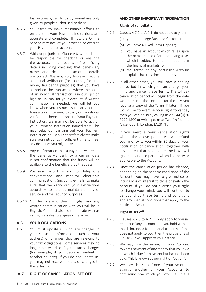Instructions given to us by e-mail are only given by people authorised to do so.

- A 5.6 You agree to make reasonable efforts to ensure that your Payment Instructions are accurate and complete. If not, the Online Service may not let you proceed or execute your Payment Instructions.
- A 5.7 Without prejudice to Clause A 8, we shall not be responsible for checking or ensuring the accuracy or correctness of beneficiary details including checking that beneficiary name and destination account details are correct. We may still, however, require additional verification (for example, for antimoney laundering purposes) that you have authorised the transaction where the value of an individual transaction is in our opinion high or unusual for your Account. If written confirmation is needed, we will let you know when you instruct us to carry out the transaction. If we need to carry out additional verification checks in respect of your Payment Instruction, we may not be able to act on your Payment Instruction immediately. This may delay our carrying out your Payment Instruction. You should therefore always make sure you instruct us in sufficient time to meet any deadlines you might have.
- A 5.8 Any confirmation that a Payment will reach the beneficiary's bank by a certain date is not confirmation that the funds will be available to the beneficiary by that date.
- A 5.9 We may record or monitor telephone conversations and monitor electronic communications (including e-mails) to make sure that we carry out your Instructions accurately, to help us maintain quality of service and for security purposes.
- A 5.10 Our Terms are written in English and any written communication with you will be in English. You must also communicate with us in English unless we agree otherwise.

#### **A 6 YOUR OBLIGATIONS**

A 6.1 You must update us with any changes in your status or information (such as your address) or changes that are relevant to your tax obligations. Some services may no longer be available if your status changes (for example, if you become resident in another country). If you do not update us, you may not receive notices of changes to these Terms.

# **A 7 RIGHT OF CANCELLATION, SET OFF**

# **AND OTHER IMPORTANT INFORMATION**

#### **Rights of cancellation**

- A 7.1 Clauses A 7.2 to A 7.4 do not apply to you if:
	- (a) you are a Large Business Customer;
	- (b) you have a Fixed Term Deposit;
	- (c) you have an account which relies upon the performance of an underlying asset which is subject to price fluctuations in the financial markets; or
	- (d) the terms of any particular Account explain that this does not apply.
- A 7.2 In all other cases, you will have a cooling off period in which you can change your mind and cancel these Terms. The 14 day cancellation period will begin from the date we enter into the contract (or the day you receive a copy of the Terms if later). If you would like to exercise your right to cancel, then you can do so by calling us on +44 (0)20 3772 1500 or writing to us at Twelfth Floor, 1 Angel Court, London, EC2R 7HJ.
- A 7.3 If you exercise your cancellation rights within the above period we will refund your money to you within 30 days of your notification of cancellation, together with any interest that has been earned. We will ignore any notice period which is otherwise applicable to the Account.
- A 7.4 Once the cancellation period has elapsed, depending on the specific conditions of the Account, you may have to give notice or incur a loss of interest to close or switch the Account. If you do not exercise your right to change your mind, you will continue to be bound by these terms and conditions and any special conditions that apply to the particular Account.

#### **Right of set off**

- A 7.5 Clauses A 7.6 to A 7.11 only apply to you in respect of any Account that you hold with us that is intended for personal use only. If this does not apply to you, then the provisions of Clause C 7 will apply to you instead.
- A 7.6 We may use the money in your Account towards payment of any money that you owe us which is due for payment but has not been paid. This is known as our right of "set off".
- A 7.7 We may also set off one of your Accounts against another of your Accounts to determine how much you owe us. This is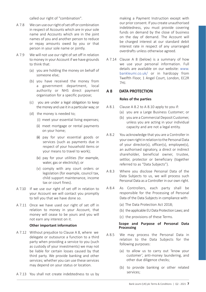called our right of "combination".

- A 7.8 We can use our right of set off or combination in respect of Accounts which are in your sole name and Accounts which are in the joint names of you and another person to reduce or repay amounts owed by you or that person in your sole name or jointly.
- A 7.9 We will not use our right of set off in relation to money in your Account if we have grounds to think that:
	- (a) you are holding the money on behalf of someone else;
	- (b) you have received the money from a government department, local authority or NHS direct payment organisation for a specific purpose;
	- (c) you are under a legal obligation to keep the money and use it in a particular way; or
	- (d) the money is needed to;
		- (i) meet your essential living expenses;
		- (ii) meet mortgage or rental payments on your home;
		- (iii) pay for your essential goods or services (such as payments due in respect of your household items or your means to travel to work);
		- (iv) pay for your utilities (for example, water, gas or electricity); or
		- (v) comply with any court orders or legislation (for example, council tax, child support maintenance, income tax or court fines).
- A 7.10 If we use our right of set off in relation to your Account we will contact you promptly to tell you that we have done so.
- A 7.11 Once we have used our right of set off in relation to money in your Account, that money will cease to be yours and you will not earn any interest on it.

#### **Other important information**

- A 7.12 Without prejudice to Clause A 8, where we delegate or outsource a function to a third party when providing a service to you (such as custody of your investments) we may not be liable for certain losses caused by that third party. We provide banking and other services; whether you can use these services may depend on your status or location.
- A 7.13 You shall not create indebtedness to us by

making a Payment Instruction except with our prior consent. If you create unauthorised indebtedness, you must provide covering funds on demand by the close of business on the day of demand. The Account will be charged interest at our standard debit interest rate in respect of any unarranged overdrafts unless otherwise agreed.

A 7.14 Clause A 8 (below) is a summary of how we use your personal information. Full details are available on our website: www. bankleumi.co.uk/ or in hardcopy from Twelfth Floor, 1 Angel Court, London, EC2R 7HJ.

#### **A 8 DATA PROTECTION**

#### **Roles of the parties**

- A 8.1 Clause A 8.2 to A 8.10 apply to you if:
	- (a) you are a Large Business Customer; or
	- (b) you are a Commercial Deposit Customer, unless you are acting in your individual capacity and are not a legal entity.
- A 8.2 You acknowledge that you are a Controller in your own right in relation to the Personal Data of your director(s), officer(s), employee(s), an authorised signatory, a direct or indirect shareholder, beneficial owner, trustee, settlor, protector or beneficiary (together referred to as "Data Subjects").
- A 8.3 Where you disclose Personal Data of the Data Subjects to us, we will process such Personal Data as a Controller in our own right.
- A 8.4 As Controllers, each party shall be responsible for the Processing of Personal Data of the Data Subjects in compliance with:
	- (a) The Data Protection Act 2018;
	- (b) the applicable EU Data Protection Laws; and
	- (c) the provisions of these Terms.

#### **Scope and Purpose of Personal Data Processing**

- A 8.5 We may process the Personal Data in relation to the Data Subjects for the following purposes:
	- (a) to allow us to carry out 'know your customer', anti-money laundering, and other due diligence checks;
	- (b) to provide banking or other related services;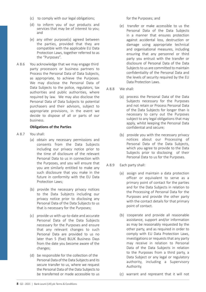- (c) to comply with our legal obligations;
- (d) to inform you of our products and services that may be of interest to you; and
- (e) any other purpose(s) agreed between the parties, provided that they are compatible with the applicable EU Data Protection Laws, together referred to as the "Purposes".
- A 8.6 You acknowledge that we may engage third party processors or business partners to Process the Personal Data of Data Subjects, as appropriate, to achieve the Purposes. We may disclose the Personal Data of Data Subjects to the police, regulators, tax authorities and public authorities, where required by law. We may also disclose the Personal Data of Data Subjects to potential purchasers and their advisors, subject to appropriate provisions, in the event we decide to dispose of all or parts of our business.

#### **Obligations of the Parties**

- A 8.7 You shall:
	- (a) obtain any necessary permissions and consents from the Data Subjects including our privacy notice prior to the time of disclosure of the relevant Personal Data to us in connection with the Purposes, and you will ensure that you are similarly entitled to make any such disclosure that you make in the future in conformity with the EU Data Protection Laws;
	- (b) provide the necessary privacy notices to the Data Subjects including our privacy notice prior to disclosing any Personal Data of the Data Subjects to us that is necessary for the Purposes;
	- (c) provide us with up-to-date and accurate Personal Data of the Data Subjects necessary for the Purposes and ensure that any relevant changes to such Personal Data are provided to us no later than 5 (five) BLUK Business Days from the date you become aware of the changes;
	- (d) be responsible for the collection of the Personal Data of the Data Subjects and its secure transfer to us, where we request the Personal Data of the Data Subjects to be transferred or made accessible to us

for the Purposes; and

- (e) transfer or make accessible to us the Personal Data of the Data Subjects in a manner that ensures protection against accidental loss, destruction or damage using appropriate technical and organisational measures, including ensuring that any personnel or third party you entrust with the transfer or disclosure of Personal Data of the Data Subjects to us are committed to maintain confidentiality of the Personal Data and the levels of security required by the EU Data Protection Laws.
- A 8.8 We shall:
	- (a) process the Personal Data of the Data Subjects necessary for the Purposes and not retain or Process Personal Data of the Data Subjects for longer than is necessary to carry out the Purposes subject to any legal obligations that may apply, whilst keeping the Personal Data confidential and secure;
	- (b) provide you with the necessary privacy notices about our Processing of Personal Data of the Data Subjects, which you agree to provide to the Data Subjects prior to disclosing of their Personal Data to us for the Purposes.
- A 8.9 Each party shall:
	- (a) assign and maintain a data protection officer or equivalent to serve as a primary point of contact for the parties and for the Data Subjects in relation to the Processing of Personal Data for the Purposes and provide the other party with the contact details for that primary point of contact.
	- (b) cooperate and provide all reasonable assistance, support and/or information as may be reasonably requested by the other party, and as required in order to comply with EU Data Protection Laws, investigations or requests that any party may receive in relation to Personal Data of the Data Subjects in relation to the Purposes from a third party, a Data Subject or any legal or regulatory authority, including a Supervisory Authority.
	- (c) warrant and represent that it will not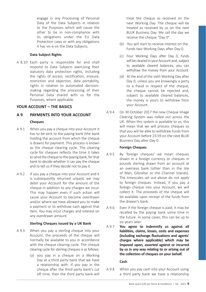engage in any Processing of Personal Data of the Data Subjects in relation to the Purposes which will cause the other to be in non-compliance with its obligations under the EU Data Protection Laws or with any obligations it has vis-à-vis the Data Subjects.

#### **Data Subject Rights**

A 8.10 Each party is responsible for and shall respond to Data Subjects exercising their statutory data protection rights, including the rights of access, rectification, erasure, restriction and objection, data portability, rights in relation to automated decisionmaking regarding the processing of their Personal Data shared with us for the Purposes, where applicable.

#### **YOUR ACCOUNT – THE BASICS**

# **A 9 PAYMENTS INTO YOUR ACCOUNT**

#### **Cheques**

- A 9.1 When you pay a cheque into your Account it has to be sent to the paying bank (the bank holding the account from which the cheque is drawn) for payment. This process is known as the cheque clearing cycle. The clearing cycle for cheques reflects the time it takes to send the cheque to the paying bank, for that bank to decide whether it can pay the cheque and to tell us if they decide not to pay it.
- A 9.2 If you pay a cheque into your Account and it is subsequently returned unpaid, we may debit your Account for the amount of the cheque in addition to any charges we incur. This may happen even if such action will cause your Account to become overdrawn and/or where we have allowed you to make a payment or to withdraw cash against that item. You may incur charges and interest on any overdrawn amount.

#### **Sterling Cheques issued by a UK Bank**

- A 9.3 When you pay a sterling cheque into your Account, the proceeds of the cheque will normally be available to you in accordance with the cheque clearing cycle. The cheque clearing cycle for sterling cheques is as follows:
	- (a) you pay in a cheque on a Working Day at a third party bank that we have a relationship with. If you pay in the cheque after the third party bank's cut off time, then the third party bank will

treat the cheque as received on the next Working Day. The cheque will be treated as received by us on the next BLUK Business Day. We call the day we receive the cheque "Day 0".

- (b) You will start to receive interest on the funds two Working Days after Day 0.
- (c) Four Working Days after Day 0, funds will be cleared in your Account and, subject to available cleared balances, you can withdraw the money from your Account.
- (d) At the end of the sixth Working Day after Day 0, unless you are knowingly a party to a fraud in respect of the cheque, the cheque cannot be rejected and, subject to available cleared balances, the money is yours to withdraw from your Account.
- A 9.4 On 30 October 2017 the new Cheque Image Clearing System was rolled out across the UK. When this system is available to us, this will mean that we will process cheques so that you will be able to withdraw funds from your Account before 23:59 on the next BLUK Business Day after Day 0.

#### **Foreign Cheques**

- A 9.5 By 'foreign cheques' we mean cheques drawn in a foreign currency or cheques in pounds sterling drawn from an account at an overseas bank (other than in the Isle of Man, Gibraltar or the Channel Islands). The timescales set out above do not apply to foreign cheques. Instead, if you pay a foreign cheque into your Account, we will collect it. The proceeds of the cheque will be available upon receipt of the funds from the drawer's bank.
- A 9.6 Even if the foreign cheque is paid, it may be recalled by the paying bank some time in the future. In some cases, this can be up to six years later.
- A 9.7 **You agree to indemnify us against all liabilities, claims, losses, costs and expenses (including exchange fluctuations and agents' charges where applicable) which may be imposed upon, asserted against or incurred by us in any way relating to or arising out of the collection of cheques on your behalf.**

#### **Cash**

A 9.8 When you pay cash into your Account using a third party bank we have a relationship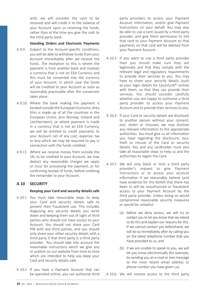with, we will consider the cash to be received and will credit it to the balance of your Account upon us receiving the funds, rather than at the time you give the cash to the third party bank.

#### **Standing Orders and Electronic Payments**

- A 9.9 Subject to the Account-specific conditions, you will be able to withdraw funds from your Account immediately after we receive the funds. The exception to this is where the payment is from another bank and involves a currency that is not an EEA Currency and this must be converted into the currency of your Account, in which case the funds will be credited to your Account as soon as reasonably practicable after the conversion takes place.
- A 9.10 Where the bank making the payment is located outside the European Economic Area (this is made up of all the countries in the European Union, plus Norway, Iceland and Liechtenstein), or where payment is made in a currency that is not an EEA Currency, we will be entitled to credit payments to your Account net of any cost, expense, tax or levy which we may be required to pay in connection with the funds credited.
- A 9.11 Where we receive money from outside the UK, to be credited to your Account, we may deduct any reasonable charges we apply or incur for processing the payment, or for confirming receipt of funds, before crediting the remainder to your Account.

# **A 10 SECURITY**

# **Keeping your Card and security details safe**

- A 10.1 You must take reasonable steps to keep your Card and security details safe to prevent their fraudulent use. This includes disguising any security details you write down and keeping them out of sight of third parties who should not have access to your Account. You should not share your Card PIN with any third parties, and you should only share your other security details with a third party if that third party is a third party provider. You should take into account the reasonable instructions which we give you or publish on our website from time to time which are intended to help you keep your Card and security details safe.
- A 10.2 If you have a Payment Account that can be operated online, you can authorise third

party providers to access your Payment Account information, and/or give Payment Instructions on your behalf. You may also be able to use a card issued by a third party provider, and give them permission to link that card to your Payment Account so that payments on that card will be debited from your Payment Account.

- A 10.3 If you want to use a third party provider then you should make sure they are legitimate and that they comply with the relevant legal and regulatory requirements to provide their services to you. You may have to share your security details (such as your login details for LeumiLink® online) with them, so that they can provide their services. You should consider carefully whether you are happy to authorise a third party provider to access your Payment Account and to provide their services to you.
- A 10.4 If your Card or security details are disclosed to another person without your consent, lost, stolen or misused, we may disclose any relevant information to the appropriate authorities. You must give us all information you have regarding the disclosure, loss, theft or misuse of the Card or security details. You and any cardholder must also take all reasonable steps to help us and the authorities to regain the Card.
- A 10.5 We will only block or limit a third party provider's request to give Payment Instructions or to access your account information if we reasonably believe (and have evidence for this belief) that there has been or will be unauthorised or fraudulent access to your Payment Account by the third party provider. Unless doing so would compromise reasonable security measures or would be unlawful:
	- (a) before we deny access, we will try to contact you to let you know that we intend to do this and explain our reasons for this. If we cannot contact you beforehand, we will do so immediately after by calling you on the latest telephone number that you have provided to us; and
	- (b) if we are unable to speak to you, we will let you know electronically (for example, by sending you an e-mail or text message to the most recent email address or phone number you have given us).

A 10.6 We will restore access to the third party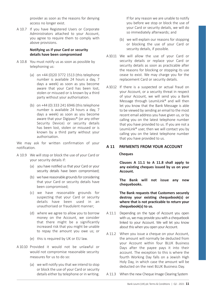provider as soon as the reasons for denying access no longer exist.

A 10.7 If you have Registered Users or Corporate Administrators attached to your Account, you agree to require them to comply with above provisions.

#### **Notifying us if your Card or security details have been compromised**

- A 10.8 You must notify us as soon as possible by telephoning us:
	- (a) on +44 (0)20 3772 1513 (this telephone number is available 24 hours a day, 7 days a week) as soon as you become aware that your Card has been lost, stolen or misused or is known by a third party without your authorisation.
	- (b) on +44 (0) 333 241 6946 (this telephone number is available 24 hours a day, 7 days a week) as soon as you become aware that your Digipass® (or any other Security Device) or security details has been lost, stolen or misused or is known by a third party without your authorisation.

We may ask for written confirmation of your notification.

- A 10.9 We will stop or block the use of your Card or your security details if:
	- (a) you have notified us that your Card or your security details have been compromised;
	- (b) we have reasonable grounds for considering that your Card or security details have been compromised;
	- (c) we have reasonable grounds for suspecting that your Card or security details have been used in an unauthorised or fraudulent manner;
	- (d) where we agree to allow you to borrow money on the Account, we consider that there might be a significantly increased risk that you might be unable to repay the amount you owe us; or
	- (e) this is required by UK or EU law.
- A 10.10 Provided it would not be unlawful or would not compromise reasonable security measures for us to do so:
	- (a) we will notify you that we intend to stop or block the use of your Card or security details either by telephone or in writing.

If for any reason we are unable to notify you before we stop or block the use of your Card or security details, we will do so immediately afterwards; and

- (b) we will explain our reasons for stopping or blocking the use of your Card or security details, if possible.
- A 10.11 We will allow the use of your Card or security details or replace your Card or security details as soon as practicable after the reasons for blocking or stopping its use cease to exist. We may charge you for the replacement Card or security details.
- A 10.12 If there is a suspected or actual fraud on your Account, or a security threat in respect of your Account, we will send you a Bank Message through LeumiLink® and will then let you know that the Bank Message is able to be viewed by sending an email to the most recent email address you have given us, or by calling you on the latest telephone number that you have provided to us. If you are not a LeumiLink® user, then we will contact you by calling you on the latest telephone number that you have provided to us.

# **A 11 PAYMENTS FROM YOUR ACCOUNT**

#### **Cheques**

**Clauses A 11.1 to A 11.8 shall apply to any existing cheques issued by us on your Account.** 

**The Bank will not issue any new chequebooks.** 

**The Bank requests that Customers securely destroy your existing chequebook(s) or where that is not practicable to return your chequebook(s) to us.**

- A 11.1 Depending on the type of Account you open with us, we may provide you with a chequebook linked to your Account. We will let you know about this when you open your Account.
- A 11.2 When you issue a cheque on your Account, the amount will normally be deducted from your Account within four BLUK Business Days after the payee pays it into their account. The exception to this is where the fourth Working Day falls on a Jewish High Holy Day, in which case the amount will be deducted on the next BLUK Business Day.
- A 11.3 When the new Cheque Image Clearing System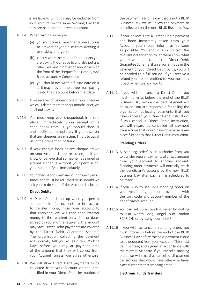is available to us, funds may be deducted from your Account on the same Working Day that they are paid into the payee's account.

- A 11.4 When writing a cheque:
	- (a) you must take all reasonable precautions to prevent anyone else from altering it or making a forgery;
	- (b) clearly write the name of the person you are paying the cheque to and also put any other relevant information about them on the front of the cheque; for example, AAA Bank, account A Cohen; and
	- (c) you should not write a future date on it as it may prevent the payee from paying it into their account before that date.
- A 11.5 If we receive for payment one of your cheques which is dated more than six months prior, we shall not pay it.
- A 11.6 You must keep your chequebook in a safe place. Immediately upon receipt of a chequebook from us, you should check it and notify us immediately if you discover that any cheques are missing. This is to assist us in the prevention of fraud.
- A 11.7 If your cheque book or any cheque drawn on your Account is lost or stolen, or if you know or believe that someone has signed or altered a cheque without your permission, you must notify us immediately.
- A 11.8 Your chequebook remains our property at all times and must be returned to us should we ask you to do so, or if the Account is closed.

# **Direct Debits**

- A 11.9 A 'Direct Debit' is set up when you permit someone else (a recipient) to instruct us to transfer money from your account to that recipient. We will then then transfer money to the recipient on a date or dates agreed by you and the recipient. The amount may vary. Direct Debit payments are covered by the Direct Debit Guarantee Scheme. The organisation collecting the payment will normally tell you at least ten Working Days before your regular payment date of the amount that they will collect from your Account, unless you agree otherwise.
- A 11.10 We will allow Direct Debit payments to be collected from your Account on the date specified in your Direct Debit Instruction. If

the payment falls on a day that is not a BLUK Business Day, we will allow the payment to be collected on the next BLUK Business Day.

- A 11.11 If you believe that a Direct Debit payment has been incorrectly taken from your Account, you should inform us as soon as possible. You should also contact the relevant organisation to let them know what you have done. Under the Direct Debit Guarantee Scheme, if an error is made in the payment of your Direct Debit by us, you will be entitled to a full refund. If you receive a refund you are not entitled to, you must pay it back when we ask you to.
- A 11.12 If you wish to cancel a Direct Debit, you must inform us before the end of the BLUK Business Day before the next payment will be taken. You are responsible for telling the organisation collecting payments that you have cancelled your Direct Debit Instruction. If you cancel a Direct Debit Instruction, we will regard as cancelled all payment transactions that would have otherwise taken place further to that Direct Debit Instruction.

#### **Standing Orders**

- A 11.13 A 'standing order' is an authority from you to transfer regular payments of a fixed amount from your Account to another account. Standing order payments will normally reach the beneficiary's account by the next BLUK Business Day after payment is scheduled to be made.
- A 11.14 If you wish to set up a standing order on your Account, you must provide us with the sort code and account number of the beneficiary's account.
- A 11.15 You can set up a standing order by writing to us at Twelfth Floor, 1 Angel Court, London EC2R 7HJ or by using LeumiLink®.
- A 11.16 If you wish to cancel a standing order, you must inform us before the end of the BLUK Business Day before the next payment is due to be deducted from your Account. This must be in writing and signed in accordance with the relevant Mandate. If you cancel a standing order, we will regard as cancelled all payment transactions that would have otherwise taken place further to that standing order.

# **Electronic Funds Transfers**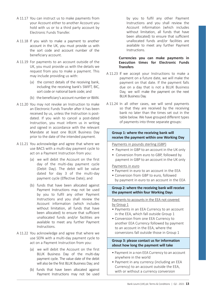- A 11.17 You can instruct us to make payments from your Account either to another Account you hold with us or to a third party account by Electronic Funds Transfer.
- A 11.18 If you wish to make a payment to another account in the UK, you must provide us with the sort code and account number of the beneficiary account.
- A 11.19 For payments to an account outside of the UK, you must provide us with the details we request from you to make a payment. This may include providing us with:
	- (a) the correct details of the receiving bank, including the receiving bank's SWIFT, BIC, sort code or national bank code; and
	- (b) the beneficiary's account number or IBAN.
- A 11.20 You may not revoke an Instruction to make an Electronic Funds Transfer after it has been received by us, unless the Instruction is postdated. If you wish to cancel a post-dated Instruction, you must inform us in writing and signed in accordance with the relevant Mandate at least one BLUK Business Day prior to the date of the intended payment.
- A 11.21 You acknowledge and agree that where we use BACS with a multi-day payment cycle to act on a Payment Instruction from you:
	- (a) we will debit the Account on the first day of the multi-day payment cycle (Debit Day). The debit will be value dated for day 3 of the multi-day payment cycle (Effective Date); and
	- (b) funds that have been allocated against Payment Instructions may not be used by you to fulfil any other Payment Instructions and you shall review the Account information (which includes without limitation, all funds that have been allocated) to ensure that sufficient unallocated funds and/or facilities are available to meet any further Payment **Instructions**
- A 11.22 You acknowledge and agree that where we use SEPA with a multi-day payment cycle to act on a Payment Instruction from you:
	- (a) we will debit the Account on the first BLUK Business Day of the multi-day payment cycle. The value date of the debit will also be the first BLUK Business Day; and
	- (b) funds that have been allocated against Payment Instructions may not be used

by you to fulfil any other Payment Instructions and you shall review the Account information (which includes without limitation, all funds that have been allocated) to ensure that sufficient unallocated funds and/or facilities are available to meet any further Payment Instructions.

#### **Currencies you can make payments in Execution times for Electronic Funds Transfers**

- A 11.23 If we accept your Instructions to make a payment on a future date, we will make the payment on that date. If the payment falls due on a day that is not a BLUK Business Day, we will make the payment on the next BLUK Business Day.
- A 11.24 In all other cases, we will send payments so that they are received by the receiving bank no later than the times set out in the table below. We have grouped different types of payments into three separate groups:

# **Group 1: where the receiving bank will receive the payment within one Working Day**

#### Payments in pounds sterling (GBP)

- Payment in GBP to an account in the UK only
- Conversion from euro to GBP, followed by payment in GBP to an account in the UK only

# Payments in euro

- Payment in euro to an account in the EEA
- Conversion from GBP to euro, followed by payment in euro to an account in the EEA

#### **Group 2: where the receiving bank will receive the payment within four Working Days**

Payments to accounts in the EEA not covered by Group 1

- Payments in an EEA Currency to an account in the EEA, which fall outside Group 1
- Conversion from one EEA Currency to another EEA Currency followed by payment to an account in the EEA, where the conversions fall outside those in Group 1

#### **Group 3: please contact us for information about how long the payment will take**

- Payment in a non EEA Currency to an account anywhere in the world
- Payment in any currency (including an EEA Currency) to an account outside the EEA, with or without a currency conversion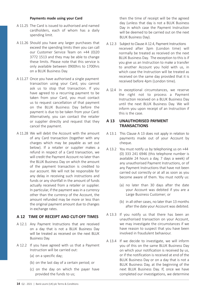#### **Payments made using your Card**

- A 11.25 The Card is issued to authorised and named cardholders, each of whom has a daily spending limit.
- A 11.26 Should you have any larger purchases that exceed the spending limits then you can call our Customer Service Team on +44 (0)20 3772 1513 and they may be able to change these limits. Please note that this service is only available between 0900hrs to 1700hrs on a BLUK Business Day.
- A 11.27 Once you have authorised a single payment transaction using your Card, you cannot ask us to stop that transaction. If you have agreed to a recurring payment to be taken from your Card, you must contact us to request cancellation of that payment on the BLUK Business Day before the payment is due to be taken from your Card. Alternatively, you can contact the retailer or supplier directly and request that they cancel the payment.
- A 11.28 We will debit the Account with the amount of any Card transaction (together with any charges which may be payable as set out below). If a retailer or supplier makes a refund in respect of a Card transaction, we will credit the Payment Account no later than the BLUK Business Day on which the amount of the payment transaction is credited to our account. We will not be responsible for any delay in receiving such instructions and funds or any shortfall in the amount of funds actually received from a retailer or supplier. In particular, if the payment was in a currency other than the currency of the Account, the amount refunded may be more or less than the original payment amount due to changes in exchange rates.

# **A 12 TIME OF RECEIPT AND CUT-OFF TIMES**

- A 12.1 Any Payment Instructions that are received on a day that is not a BLUK Business Day will be treated as received on the next BLUK Business Day.
- A 12.2 If you have agreed with us that a Payment Instruction will be carried out:
	- (a) on a specific day;
	- (b) on the last day of a certain period; or
	- (c) on the day on which the payer have provided the funds to us;

then the time of receipt will be the agreed day (unless that day is not a BLUK Business Day in which case the Payment Instruction will be deemed to be carried out on the next BLUK Business Day).

- A 12.3 Subject to Clause A 12.4, Payment Instructions received after 3pm (London time) will normally be treated as received on the next BLUK Business Day. The exception to this is if you give us an Instruction to make a transfer to another Account you hold with us, in which case the Instruction will be treated as received on the same day provided that it is received before 4pm (London time).
- A 12.4 In exceptional circumstances, we reserve the right not to process a Payment Instruction received on a BLUK Business Day until the next BLUK Business Day. We will inform you upon receipt of an Instruction if this is the case.

#### **A 13 UNAUTHORISED PAYMENT TRANSACTIONS**

- A 13.1 This Clause A 13 does not apply in relation to payments made out of your Account by cheque.
- A 13.2 You must notify us by telephoning us on +44 (0) 333 241 6946 (this telephone number is available 24 hours a day, 7 days a week) of any unauthorised Payment Instructions, or of any Payment Instructions that have not been carried out correctly or at all as soon as you become aware of them. You must notify us:
	- (a) no later than 30 days after the date your Account was debited if you are a Large Business Customer; or
	- (b) in all other cases, no later than 13 months after the date your Account was debited.
- A 13.3 If you notify us that there has been an unauthorised transaction on your Account, we may investigate the circumstances if we have reason to suspect that you have been involved in fraudulent behaviour.
- A 13.4 If we decide to investigate, we will inform you of this on the same BLUK Business Day on which your notification is received by us, or if the notification is received at end of the BLUK Business Day or on a day that is not a BLUK Business Day, at the beginning of the next BLUK Business Day. If, once we have completed our investigations, we determine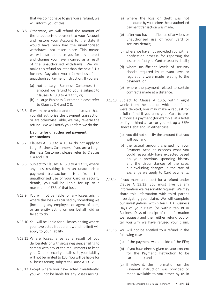that we do not have to give you a refund, we will inform you of this.

- A 13.5 Otherwise, we will refund the amount of the unauthorised payment to your Account and restore your Account to the state it would have been had the unauthorised withdrawal not taken place. This means we will also reimburse you for any interest and charges you have incurred as a result of the unauthorised withdrawal. We will make this refund no later than the next BLUK Business Day after you informed us of the unauthorised Payment Instruction. If you are:
	- (a) not a Large Business Customer, the amount we refund to you is subject to Clauses A 13.9 to A 13.11; or,
	- (b) a Large Business Customer, please refer to Clauses C 4 and C 8.
- A 13.6 If we make a refund and then discover that you did authorise the payment transaction or are otherwise liable, we may reverse the refund. We will notify you before we do this.

#### **Liability for unauthorised payment transactions**

- A 13.7 Clauses A 13.9 to A 13.14 do not apply to Large Business Customers. If you are a Large Business Customer, please refer to Clauses C 4 and C 8.
- A 13.8 Subject to Clauses A 13.9 to A 13.11, where any loss resulting from an unauthorised payment transaction arises from the unauthorised use of your Card or security details, you will be liable for up to a maximum of £35 of that loss.
- A 13.9 You will not be liable for any losses arising where the loss was caused by something we (including any employee or agent of ours, or an entity acting on our behalf) did or failed to do.
- A 13.10 You will be liable for all losses arising where you have acted fraudulently, and no limit will apply to your liability.
- A 13.11 Where losses arise as a result of you deliberately or with gross negligence failing to comply with any of the requirements to keep your Card or security details safe, your liability will not be limited to £35. You will be liable for all losses arising, subject to Clause A 13.12.
- A 13.12 Except where you have acted fraudulently, you will not be liable for any losses arising:
- (a) where the loss or theft was not detectable by you before the unauthorised payment transaction was made;
- (b) after you have notified us of any loss or unauthorised use of your Card or security details;
- (c) where we have not provided you with a notification process for reporting the loss or theft of your Card or security details;
- (d) where insufficient levels of security checks required by relevant laws or regulations were made relating to the payment; or
- (e) where the payment related to certain contracts made at a distance.
- A 13.13 Subject to Clause A 13.5, within eight weeks from the date on which the funds were debited, you may make a request for a full refund if you used your Card to preauthorise a payment (for example, at a hotel or if you hired a car) or you set up a SEPA Direct Debit and, in either case:
	- (a) you did not specify the amount that you will pay; and
	- (b) the actual amount charged to your Payment Account exceeds what you could reasonably have expected based on your previous spending history and the circumstances of the case, but excluding changes in the rate of exchange we apply to Card payments.
- A 13.14 If you make a request for a refund under Clause A 13.13, you must give us any information we reasonably request. We may share this information with third parties investigating your claim. We will complete our investigations within ten BLUK Business Days of your claim (or within ten BLUK Business Days of receipt of the information we request) and then either refund you or tell you why we have refused your claim.
- A 13.15 You will not be entitled to a refund in the following cases:
	- (a) if the payment was outside of the EEA;
	- (b) if you have directly given us your consent for the Payment Instruction to be carried out; and
	- (c) if relevant, the information on the Payment Instruction was provided or made available to you either by us in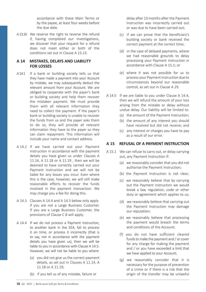accordance with these Main Terms or by the payee, at least four weeks before the due date.

A 13.16 We reserve the right to reverse the refund if, having completed our investigations, we discover that your request for a refund does not meet either or both of the conditions set out in Clause A 13.13.

# **A 14 MISTAKES, DELAYS AND LIABILITY FOR LOSSES**

- A 14.1 If a bank or building society tells us that they have made a payment into your Account by mistake, we may subsequently deduct the relevant amount from your Account. We are obliged to cooperate with the payer's bank or building society and help them recover the mistaken payment. We must provide them with all relevant information they need to collect the payment. If the payer's bank or building society is unable to recover the funds from us and the payer asks them to do so, they will provide all relevant information they have to the payer so they can claim repayment. This information will include your name and contact address.
- A 14.2 If we have carried out your Payment Instruction in accordance with the payment details you have given us under Clauses A 11.14, A 11.18 or A 11.19 , then we will be deemed to have correctly carried out your Payment Instruction and we will not be liable for any losses you incur. Even where this is the case, however, we will still make reasonable efforts to recover the funds involved in the payment transaction. We may charge you a fee for doing this.
- A 14.3 Clauses A 14.4 and A 14.5 below only apply if you are not a Large Business Customer. If you are a Large Business Customer, the provisions of Clause C 8 will apply.
- A 14.4 If we do not process a Payment Instruction, to another bank in the EEA, fail to process it on time, or process it incorrectly (that is to say, not in accordance with the payment details you have given us), then we will be liable to you in accordance with Clause A 14.5. However, we will not be liable to you where:
	- (a) you did not give us the correct payment details, as set out in Clauses A 11.14, A 11.18 or A 11.19;
	- (b) if you tell us of any mistake, failure or

delay after 13 months after the Payment Instruction was incorrectly carried out or was due to have been carried out;

- (c) if we can prove that the beneficiary's building society or bank received the correct payment at the correct time;
- (d) in the case of delayed payments, where we had reasonable grounds to delay processing your Payment Instruction in accordance with Clause A 15.1; or
- (e) where it was not possible for us to process your Payment Instruction due to circumstances beyond our reasonable control, as set out in Clause A 29.
- A 14.5 If we are liable to you under Clause A 14.4, then we will refund the amount of your loss arising from the mistake or delay without undue delay. Our liability will be limited to:
	- (a) the amount of the Payment Instruction;
	- (b) the amount of any interest you should have received but did not receive; and
	- (c) any interest or charges you have to pay as a result of our error.

# **A 15 REFUSAL OF A PAYMENT INSTRUCTION**

- A 15.1 We can refuse to carry out, or delay carrying out, any Payment Instruction if:
	- (a) we reasonably consider that you did not authorise the Payment Instruction;
	- (b) the Payment Instruction is not clear;
	- (c) we reasonably believe that by carrying out the Payment Instruction we would break a law, regulation, code or other duty or agreement which applies to us;
	- (d) we reasonably believe that carrying out the Payment Instruction may damage our reputation;
	- (e) we reasonably believe that processing the payment would breach the terms and conditions of the Account;
	- (f) you do not have sufficient cleared funds to make the payment and / or cover for any charge for making the payment and / or you have exceeded a limit that we have applied to your Account;
	- (g) we reasonably consider that it is necessary for the purpose of prevention of a crime or if there is a risk that the origin of the transfer may be unlawful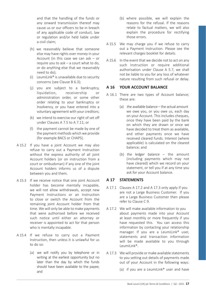and that the handling of the funds or any onward transmission thereof may cause us or our officers to be in breach of any applicable code of conduct, law or regulation and/or held liable under a civil claim;

- (h) we reasonably believe that someone else may have rights over money in your Account (in this case we can ask – or require you to ask – a court what to do, or do anything else that we reasonably need to do);
- (i) LeumiLink® is unavailable due to security concerns (see Clause B 6.3);
- (j) you are subject to a bankruptcy, liquidation, receivership or administration order, or some other order relating to your bankruptcy or Insolvency, or you have entered into a voluntary agreement with your creditors;
- (k) we intend to exercise our right of set off under Clauses A 7.5 to A 7.11; or
- (l) the payment cannot be made by one of the payment methods which we provide (for example BACS or CHAPS).
- A 15.2 If you have a joint Account we may also refuse to carry out a Payment Instruction without the express authority of all joint Account holders (or on instruction from a court or ombudsman) if any one of the joint Account holders informs us of a dispute between you and them.
- A 15.3 If we receive notice that one joint Account holder has become mentally incapable, we will not allow withdrawals, accept new Payment Instructions or an Instruction to close or switch the Account from the remaining joint Account holder from that time. We will only be able to make payments that were authorised before we received such notice until either an attorney or receiver is appointed to act for that person who is mentally incapable.
- A 15.4 If we refuse to carry out a Payment Instruction, then unless it is unlawful for us to do so:
	- (a) we will notify you by telephone or in writing at the earliest opportunity but no later than the day by which the funds should have been available to the payee; and
- (b) where possible, we will explain the reasons for the refusal. If the reasons relate to factual matters, we will also explain the procedure for rectifying those errors.
- A 15.5 We may charge you if we refuse to carry out a Payment Instruction. Please see the relevant charges booklet for details.
- A 15.6 In the event that we decide not to act on any such Instruction or require additional authorisation under Clause A 5.7, we shall not be liable to you for any loss of whatever nature resulting from such refusal or delay.

#### **A 16 YOUR ACCOUNT BALANCE**

- A 16.1 There are two types of Account balance; these are:
	- (a) the available balance the actual amount we owe you, or you owe us, each day on your Account. This includes cheques once they have been paid by the bank on which they are drawn or once we have decided to treat them as available, and other payments once we have received cleared funds. Interest (where applicable) is calculated on the cleared balance; and
	- (b) the ledger balance the amount (including payments which may not have cleared) which we record on your statement, or tell you if at any time you ask for your Account balance.

# **A 17 STATEMENTS**

- A 17.1 Clauses A 17.2 and A 17.3 only apply if you are not a Large Business Customer. If you are a Large Business Customer then please refer to Clause C 9.
- A 17.2 We will make available information to you about payments made into your Account at least monthly or more frequently if you have requested this. You can access this information by contacting your relationship manager. If you are a LeumiLink® user, statements and transaction information will be made available to you through LeumiLink®.
- A 17.3 We will provide or make available statements to you setting out details of payments made out of your Account in the following ways:
	- (a) if you are a LeumiLink® user and have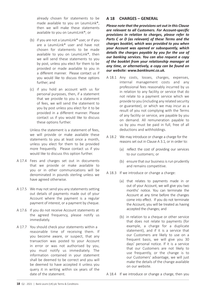already chosen for statements to be made available to you on LeumiLink®. then we will make these statements available to you on LeumiLink®; or

- (b) if you are not a LeumiLink® user, or if you are a LeumiLink® user and have not chosen for statements to be made available to you on LeumiLink®, then we will send these statements to you by post, unless you elect for them to be provided or made available to you in a different manner. Please contact us if you would like to discuss these options further; and
- (c) if you hold an account with us for personal purposes, then, if a statement that we provide to you is a statement of fees, we will send the statement to you by post unless you elect for it to be provided in a different manner. Please contact us if you would like to discuss these options further.

Unless the statement is a statement of fees, we will provide or make available these statements to you at least once a month, unless you elect for them to be provided more frequently. Please contact us if you would like to discuss this option further.

- A 17.4 Fees and charges set out in documents that we provide or make available to you or in other communications will be denominated in pounds sterling unless we have agreed otherwise.
- A 17.5 We may not send you any statements setting out details of payments made out of your Account where the payment is a regular payment of interest, or a payment by cheque.
- A 17.6 If you do not receive Account statements at the agreed frequency, please notify us immediately.
- A 17.7 You should check your statements within a reasonable time of receiving them. If you become aware, or suspect, that any transaction was posted to your Account in error or was not authorised by you, you must notify us immediately. The information contained in your statement shall be deemed to be correct and you will be deemed to have accepted it unless you query it in writing within six years of the date of the statement.

# **A 18 CHARGES – GENERAL**

*Please note that the provisions set out in this Clause are relevant to all Customers. For Account-specific provisions in relation to charges, please refer to Parts C or D (as relevant) of these Terms and the charges booklet, which was provided to you when your Account was opened or subsequently, which details the charges payable by you for the use of our banking services. You can also request a copy of the booklet from your relationship manager at any time, or alternatively, a copy can be found on our website: www.bankleumi.co.uk.*

- A 18.1 Any costs, losses, charges, expenses, internal management costs and any professional fees reasonably incurred by us in relation to any facility or service that do not relate to a payment service which we provide to you (including any related security or guarantee), or which we may incur as a result of you not complying with the Terms of any facility or service, are payable by you on demand. All remuneration payable to us by you must be paid in full, free of all deductions and withholdings.
- A 18.2 We may introduce or change a charge for the reasons set out in Clause A 3.1, or in order to:
	- (a) reflect the cost of providing our services to our customers; or
	- (b) ensure that our business is run prudently and remains competitive.
- A 18.3 If we introduce or change a charge:
	- (a) that relates to payments made in or out of your Account, we will give you two months' notice. You can terminate the Account at any time before the changes come into effect. If you do not terminate the Account, you will be treated as having accepted the changes; and
	- (b) in relation to a cheque or other service that does not relate to payments (for example, a charge for a duplicate statement), and if it is a service that our Customers are likely to use on a frequent basis, we will give you 30 days' personal notice. If it is a service that our Customers are not likely to use frequently, or the change is to our Customers' advantage, we will just make the details of the change available on our website.

A 18.4 If we introduce or change a charge, then you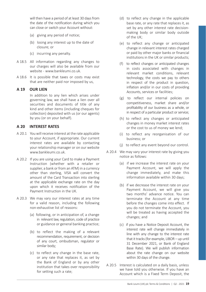will then have a period of at least 30 days from the date of the notification during which you can close or switch your Account without:

- (a) giving any period of notice;
- (b) losing any interest up to the date of closure; or
- (c) incurring any penalty.
- A 18.5 All information regarding any changes to our charges will also be available from our website - www.bankleumi.co.uk
- A 18.6 It is possible that taxes or costs may exist that are neither paid nor imposed by us,

#### **A 19 OUR LIEN**

In addition to any lien which arises under governing law, we shall have a lien over all securities and documents of title of any kind and other items (including cheques for collection) deposited with us (or our agents) by you (or on your behalf).

#### **A 20 INTEREST RATES**

- A 20.1 You will receive interest at the rate applicable to your Account, if appropriate. Our current interest rates are available by contacting your relationship manager or on our website www.bankleumi.co.uk.
- A 20.2 If you are using your Card to make a Payment Instruction (whether with a retailer or supplier, a bank or from an ATM) in a currency other than sterling, VISA will convert the amount of the Card Transaction into sterling at the applicable exchange rate on the day upon which it receives notification of the Payment Instruction in the UK.
- A 20.3 We may vary our interest rates at any time for a valid reason, including the following non-exhaustive list of reasons:
	- (a) following, or in anticipation of, a change in relevant law, regulation, code of practice or guidance or general banking practice;
	- (b) to reflect the making of a relevant recommendation, requirement, or decision of any court, ombudsman, regulator or similar body;
	- (c) to reflect any change in the base rate, or any rate that replaces it, as set by the Bank of England or by any other institution that takes over responsibility for setting such a rate;
- (d) to reflect any change in the applicable base rate, or any rate that replaces it, as set by any other interest rate decisionmaking body or similar body outside of the UK;
- (e) to reflect any change or anticipated change in relevant interest rates charged or paid by other major banks or financial institutions in the UK or similar products;
- (f) to reflect changes or anticipated changes in costs associated with changes in relevant market conditions, relevant technology, the costs we pay to others in respect of the product in question, inflation and/or in our costs of providing Accounts, services or facilities;
- (g) to reflect our internal policies on competitiveness, market share and/or profitability of our business as a whole, or in respect of a particular product or service;
- (h) to reflect any changes or anticipated changes in money market interest rates or the cost to us of money we lend;
- (i) to reflect any reorganisation of our business; or
- (j) to reflect any event beyond our control.
- A 20.4 We may vary your interest rate by giving you notice as follows:
	- (a) if we increase the interest rate on your Payment Account, we will apply the change immediately, and make this information available within 30 days;
	- (b) if we decrease the interest rate on your Payment Account, we will give you two months' advance notice. You can terminate the Account at any time before the changes come into effect. If you do not terminate the Account, you will be treated as having accepted the changes; and
	- (c) if you have a Notice Deposit Account, the interest rate will change immediately in line with any change to the interest rate that it tracks (for example, LIBOR – up until 31 December 2021, or Bank of England Base Rate). We will publish information about the rate change on our website within 30 days of the change.
- A 20.5 Interest is calculated on a daily basis, unless we have told you otherwise. If you have an Account which is a Fixed Term Deposit, the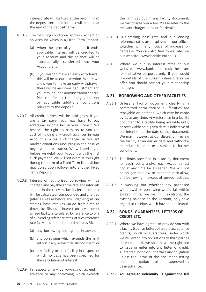interest rate will be fixed at the beginning of the deposit term and interest will be paid at the end of the deposit term.

- A 20.6 The following conditions apply in respect of an Account which is a Fixed Term Deposit:
	- (a) when the term of your deposit ends, applicable interest will be credited to your Account and the balance will be automatically transferred into your Account; and
	- (b) if you wish to make an early withdrawal, this will be at our discretion. Where we allow you to make an early withdrawal, there will be an interest adjustment and you may incur an administration charge. Please refer to the charges booklet or applicable additional conditions relevant to the deposit.
- A 20.7 All credit interest will be paid gross. If you are a tax payer you may have to pay additional income tax on your interest. We reserve the right to pass on to you the cost of holding any credit balances in your Account as a result of changes in relevant market conditions (including in the case of negative interest rates). We will advise you before we debit your Account with the first such payment. We will not exercise this right during the term of a Fixed Term Deposit but may do so upon rollover into another Fixed Term Deposit.
- A 20.8 Interest on authorised borrowing will be charged and payable at the rate and intervals set out in the relevant facility letter. Interest will be calculated, compounded and charged (after as well as before any judgment) at our sterling base rate (as varied from time to time) plus 5% or, if interest on any relevant agreed facility is calculated by reference to one of our lending reference rates, at such reference rate (as varied from time to time) plus 5% on:
	- (a) any borrowing not agreed in advance;
	- (b) any borrowing which exceeds the limit set out in any relevant facility document; or
	- (c) any facility or part facility in respect of which no basis has been specified for the calculation of interest.
- A 20.9 In respect of any borrowing not agreed in advance or any borrowing which exceeds

the limit set out in any facility document, we will charge you a fee. Please refer to the relevant charges booklet for details.

- A 20.10 Our sterling base rate and our lending reference rates are displayed at our offices together with any notice of increase or decrease. You can also find those rates on our website - www.bankleumi.co.uk.
- A 20.11 Where we publish interest rates on our website – www.bankleumi.co.uk these are for indicative purposes only. If you would like details of the current interest rates we offer, you should contact your relationship manager.

# **A 21 BORROWING AND OTHER FACILITIES**

- A 21.1 Unless a facility document clearly is a committed term facility, all facilities are repayable on demand, which may be made by us at any time. Any reference in a facility document to a facility being available until, or reviewable at, a given date is indicative of our intention at the date of that document. We may, however, at our discretion, review the facility at an earlier date and withdraw or reduce it, or make it subject to further conditions.
- A 21.2 The limits specified in a facility document for each facility and/or each Account must not at any time be exceeded. We will not be obliged to allow, or to continue to allow, any borrowing in excess of agreed facilities.
- A 21.3 In working out whether any proposed withdrawal or borrowing would fall within agreed limits, we will, in calculating the existing balance on the Account, only have regard to receipts which have been cleared.

#### **A 22 BONDS, GUARANTEES, LETTERS OF CREDIT ETC.**

A 22.1 Where we have agreed to provide you with a facility (such as letters of credit, acceptance credits, bonds or guarantees) under which we will enter into obligations to third parties on your behalf, we shall have the right not to issue or enter into any letter of credit, guarantee, bond or undertake any obligation unless the Terms of the document setting out our obligation have been approved by us in advance.

A 22.2 **You agree to indemnify us against the full**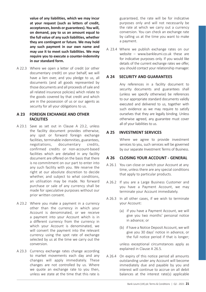**value of any liabilities, which we may incur at your request (such as letters of credit, acceptances, bonds or guarantees). You will, on demand, pay to us an amount equal to the full value of any such liabilities, whether they are contingent or future. We may hold any such payment in our own name and may use it to meet such liabilities. We may require you to execute a counter-indemnity in our standard form.**

A 22.3 Where we open a letter of credit (or other documentary credit) on your behalf, we will have a lien over, and you pledge to us, all documents (and all goods represented by those documents and all proceeds of sale and all related insurance policies) which relate to the goods covered by that credit and which are in the possession of us or our agents as security for all your obligations to us.

#### **A 23 FOREIGN EXCHANGE AND OTHER FACILITIES**

- A 23.1 Save as set out in Clause A 23.2, unless the facility document provides otherwise, any spot or forward foreign exchange facilities, terminable indemnities, guarantees, negotiations, documentary credits, confirmed credits or non-account-based facilities which are detailed in any facility document are offered on the basis that there is no commitment on our part to enter into any such facility with you. We reserve the right at our absolute discretion to decide whether, and subject to what conditions, an utilisation may be made. No forward purchase or sale of any currency shall be made for speculative purposes without our prior written consent.
- A 23.2 Where you make a payment in a currency other than the currency in which your Account is denominated, or we receive a payment into your Account which is in a different currency from the currency in which your Account is denominated, we will convert the payment into the relevant currency using the spot rate of exchange selected by us at the time we carry out the conversion.
- A 23.3 Currency exchange rates change according to market movements each day and any changes will apply immediately. These changes are not controlled by us. Where we quote an exchange rate to you then, unless we state at the time that this rate is

guaranteed, the rate will be for indicative purposes only and will not necessarily be the rate at which we carry out a currency conversion. You can check an exchange rate by calling us at the time you want to make a payment.

A 23.4 Where we publish exchange rates on our website  $-$  www.bankleumi.co.uk these are for indicative purposes only. If you would like details of the current exchange rates we offer, you should contact your relationship manager.

# **A 24 SECURITY AND GUARANTEES**

Any references in a facility document to security documents and guarantees shall (unless we specify otherwise) be references to our appropriate standard documents validly executed and delivered to us, together with such evidence as we may require to satisfy ourselves that they are legally binding. Unless otherwise agreed, any guarantee must cover all of your liabilities to us.

# **A 25 INVESTMENT SERVICES**

Where we agree to provide investment services to you, such services will be governed by our separate Investment Terms of Business.

# **A 26 CLOSING YOUR ACCOUNT - GENERAL**

- A 26.1 You can close or switch your Account at any time, unless there are any special conditions that apply to particular products.
- A 26.2 If you are a Large Business Customer and you have a Payment Account, we may terminate your Account immediately.
- A 26.3 In all other cases, if we wish to terminate your Account:
	- (a) if you have a Payment Account, we will give you two months' personal notice in advance; or
	- (b) if have a Notice Deposit Account, we will give you 30 days' notice in advance, or the full notice period if that is longer;

unless exceptional circumstances apply as explained in Clause A 26.5.

A 26.4 On expiry of this notice period all amounts outstanding under any Account will become immediately due and payable by you and interest will continue to accrue on all debit balances at the interest rate(s) applicable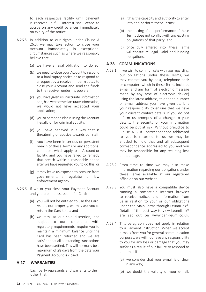to each respective facility until payment is received in full. Interest shall cease to accrue on any credit balances immediately on expiry of the notice.

- A 26.5 In addition to our rights under Clause A 26.3, we may take action to close your Account immediately in exceptional circumstances such as where we reasonably believe that:
	- (a) we have a legal obligation to do so;
	- (b) we need to close your Account to respond to a bankruptcy notice or to respond to a request by a receiver in bankruptcy to close your Account and send the funds to the receiver under his powers;
	- (c) you have given us inaccurate information and, had we received accurate information, we would not have accepted your application;
	- (d) you or someone else is using the Account illegally or for criminal activity;
	- (e) you have behaved in a way that is threatening or abusive towards our staff;
	- (f) you have been in serious or persistent breach of these Terms or any additional conditions which apply to an Account or facility, and you have failed to remedy that breach within a reasonable period after we have requested you to do this; or
	- (g) it may leave us exposed to censure from government, a regulator or law enforcement agency.
- A 26.6 If we or you close your Payment Account and you are in possession of a Card:
	- (a) you will not be entitled to use the Card. As it is our property, we may ask you to return the Card to us; and
	- (b) we may, at our sole discretion, and subject to our compliance with regulatory requirements, require you to maintain a minimum balance until the Card has been returned and we are satisfied that all outstanding transactions have been settled. This will normally be a maximum of 28 days from the date your Payment Account is closed.

# **A 27 WARRANTIES**

 Each party represents and warrants to the other that:

- (a) it has the capacity and authority to enter into and perform these Terms;
- (b) the making of and performance of these Terms does not conflict with any existing obligations of that party; and
- (c) once duly entered into, these Terms will constitute legal, valid and binding obligations.

#### **A 28 COMMUNICATIONS**

- A 28.1 If we wish to communicate with you regarding our obligations under these Terms, we may contact you by post, telephone and/ or computer (which in these Terms includes e-mail and any form of electronic message made by any type of electronic device) using the latest address, telephone number or e-mail address you have given us. It is your responsibility to ensure that we have your current contact details. If you do not inform us promptly of a change to your details, the security of your information could be put at risk. Without prejudice to Clause A 8, if correspondence addressed to you is returned to us we may be entitled to hold that and all subsequent correspondence addressed to you and you may be responsible for any resulting loss and damage.
- A 28.2 From time to time we may also make information regarding our obligations under these Terms available at our registered office or on our website.
- A 28.3 You must also have a compatible device running a compatible Internet browser to receive notices and information from us in relation to your or our obligations under the Main Terms through LeumiLink®. Details of the best way to view LeumiLink® are set out on www.bankleumi.co.uk.
- A 28.4 This paragraph does not apply in relation to a Payment Instruction. When we accept e-mails from you for general communication purposes, we will not have any responsibility to you for any loss or damage that you may suffer as a result of our failure to respond to an e-mail if:
	- (a) we consider that your e-mail is unclear in any way;
	- (b) we doubt the validity of your e-mail;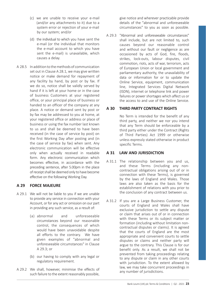- (c) we are unable to receive your e-mail (and/or any attachments to it) due to a system error or rejection of your e-mail by our system; and/or
- (d) the individual to which you have sent the e-mail (or the individual that monitors the e-mail account to which you have sent the e-mail) is unavailable, which causes a delay.
- A 28.5 In addition to the methods of communication set out in Clause A 28.1, we may give written notice or make demand for repayment of any facility by hand, by post or by fax. If we do so, notice shall be validly served by hand if it is left at your home or in the case of business Customers at your registered office, or your principal place of business or handed to an officer of the company at any place. A notice or demand sent by post or by fax may be addressed to you at home, at your registered office or address or place of business or using the fax number last known to us and shall be deemed to have been received (in the case of service by post) on the first Working Day after posting and (in the case of service by fax) when sent. Any electronic communication will be effective only when actually received in readable form. Any electronic communication which becomes effective, in accordance with the preceding sentence, after 5.00pm in the place of receipt shall be deemed only to have become effective on the following Working Day.

# **A 29 FORCE MAJEURE**

- A 29.1 We will not be liable to you if we are unable to provide any service in connection with your Account, or for any act or omission on our part in providing any such service, as a result of:
	- (a) abnormal and unforeseeable circumstances beyond our reasonable control, the consequences of which would have been unavoidable despite all efforts to the contrary. We have given examples of "abnormal and unforeseeable circumstances" in Clause A 29.3; or
	- (b) our having to comply with any legal or regulatory requirement.
- A 29.2 We shall, however, minimise the effects of such failure to the extent reasonably possible,

give notice and wherever practicable provide details of the "abnormal and unforeseeable circumstances" to you as soon as possible.

A 29.3 "Abnormal and unforeseeable circumstances" shall include, but are not limited to, such causes beyond our reasonable control and without our fault or negligence as are occasioned by acts of God, fire, floods, strikes, lock-outs, labour disputes, civil commotion, riots, acts of war, terrorism, acts of European Union or local government and parliamentary authority, the unavailability of data or information for or to update the Online Service, equipment, communication line, Integrated Services Digital Network (ISDN), internet or telephone link and power failures or power shortages which affect us or the access to and use of the Online Service.

# **A 30 THIRD PARTY CONTRACT RIGHTS**

No Term is intended for the benefit of any third party, and neither we nor you intend that any Term should be enforceable by a third party either under the Contract (Rights of Third Parties) Act 1999 or otherwise unless expressly stated otherwise in product specific Terms.

# **A 31 LAW AND JURISDICTION**

- A 31.1 The relationship between you and us, and these Terms (including any noncontractual obligations arising out of or in connection with these Terms), is governed by the laws of England and Wales. Those laws are also taken as the basis for the establishment of relations with you prior to the conclusion of any contract between us.
- A 31.2 If you are a Large Business Customer, the courts of England and Wales shall have exclusive jurisdiction to settle any dispute or claim that arises out of or in connection with these Terms or its subject matter or formation (including without limitation noncontractual disputes or claims). It is agreed that the courts of England are the most appropriate and convenient courts to settle disputes or claims and neither party will argue to the contrary. This Clause is for our benefit only. As a result, we shall not be prevented from taking proceedings relating to any dispute or claim in any other courts with jurisdiction. To the extent allowed by law, we may take concurrent proceedings in any number of jurisdictions.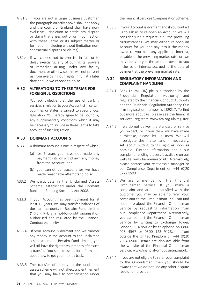- A 31.3 If you are not a Large Business Customer, the paragraph directly above shall not apply and the courts of England shall have nonexclusive jurisdiction to settle any dispute or claim that arises out of or in connection with these Terms or its subject matter or formation (including without limitation noncontractual disputes or claims).
- A 31.4 If we choose not to exercise in full, or to delay exercising, any of our rights, powers or remedies arising under any facility document or otherwise, this will not prevent us from exercising our rights in full at a later date should we choose to do so.

# **A 32 ALTERATIONS TO THESE TERMS FOR FOREIGN JURISDICTIONS**

You acknowledge that the use of banking services in relation to your Account(s) in certain countries or states is subject to specific local legislation. You hereby agree to be bound by any supplementary conditions which it may be necessary to include in these Terms to take account of such legislation.

### **A 33 DORMANT ACCOUNTS**

- A 33.1 A dormant account is one in respect of which:
	- (a) for 2 years you have not made any payment into or withdrawn any money from the Account: and
	- (b) you cannot be traced after we have made reasonable attempts to do so.
- A33.2 We participate in the Unclaimed Assets Scheme, established under the Dormant Bank and Building Societies Act 2008.
- A33.3 If your Account has been dormant for at least 15 years, we may transfer balances of dormant accounts to Reclaim Fund Limited ("RFL"). RFL is a not-for-profit organisation authorised and regulated by the Financial Conduct Authority.
- A 33.4 If your Account is dormant and we transfer any money in the Account to the unclaimed assets scheme at Reclaim Fund Limited, you will still have the right to your money after such a transfer. You should ask us for information about how to get your money back.
- A 33.5 The transfer of money to the unclaimed assets scheme will not affect any entitlement that you may have to compensation under

the Financial Services Compensation Scheme.

A 33.6 If your Account is dormant and if you contact us to ask us to re-open an Account, we will consider such a request in all the prevailing circumstances. We may either: re-open an Account for you and pay into it the money owed to you plus any applicable interest, payable at the prevailing market rate; or: we may repay to you the amount owed to you inclusive of interest accrued to the date of payment at the prevailing market rate.

# **A 34 REGULATORY INFORMATION AND COMPLAINT HANDLING**

- A 34.1 Bank Leumi (UK) plc is authorised by the Prudential Regulation Authority and regulated by the Financial Conduct Authority and the Prudential Regulation Authority. Our firm registration number is 139217. To find out more about us, please see the financial services register: www.fca.org.uk/register.
- A 34.2 If we do not deliver the standard of service you expect, or if you think we have made a mistake, please let us know. We will investigate the matter and, if necessary, set about putting things right as soon as possible. Further information about our complaint handling process is available on our website www.bankleumi.co.uk. Alternatively, please contact your relationship manager or our Compliance Department on +44 (0)20 3772 1500.
- A 34.3 We are a member of the Financial Ombudsman Service. If you make a complaint and are not satisfied with the outcome, you may be able to refer your complaint to the Ombudsman. You can find out more about the Financial Ombudsman Service by requesting information from our Compliance Department. Alternatively, you can contact the Financial Ombudsman Service by writing to Exchange Tower, London, E14 9SR or by telephone on 0800 023 4567 or 0300 123 9123, or from outside the United Kingdom on +44 (0)20 7964 0500. Details are also available from the website of the Financial Ombudsman Service: www.financial-ombudsman.org.uk.
- A 34.4 If you are not eligible to refer your complaint to the Ombudsman, then you should be aware that we do not use any other dispute resolution provider.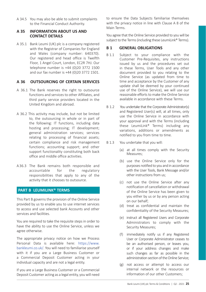A 34.5 You may also be able to submit complaints to the Financial Conduct Authority.

# **A 35 INFORMATION ABOUT US AND CONTACT DETAILS**

A 35.1 Bank Leumi (UK) plc is a company registered with the Registrar of Companies for England and Wales (company number: 640370). Our registered and head office is Twelfth Floor, 1 Angel Court, London, EC2R 7HJ. Our telephone number is +44 (0)20 3772 1500 and our fax number is +44 (0)20 3772 1501.

# **A 36 OUTSOURCING OF CERTAIN SERVICES**

- A 36.1 The Bank reserves the right to outsource functions and services to other Affiliates, and third party service providers located in the United Kingdom and abroad.
- A 36.2 This activity may include, but not be limited to, the outsourcing in whole or in part of the following: IT functions, including data hosting and processing; IT development; general administration services; services relating to processing of financial assets; certain compliance and risk management functions; accounting support; and other support functionality constituting both back office and middle office activities.
- A 36.3 The Bank remains both responsible and accountable for the regulatory responsibilities that apply to any of the activity that it chooses to outsource.

# **PART B LEUMILINK® TERMS**

This Part B governs the provision of the Online Service provided by us to enable you to use internet services to access and use selected bank Accounts and other services and facilities.

You are required to take the requisite steps in order to have the ability to use the Online Service, unless we agree otherwise.

The appropriate privacy notice on how we Process Personal Data is available here: https://www. bankleumi.co.uk/. You will need to familiarise yourself with it if you are a Large Business Customer or a Commercial Deposit Customer acting in your individual capacity and are not a legal entity.

If you are a Large Business Customer or a Commercial Deposit Customer acting as a legal entity, you will need to ensure the Data Subjects familiarise themselves with the privacy notice in line with Clause A 8 of the Main Terms.

You agree that the Online Service provided to you will be subject to the Terms (including these LeumiLink® Terms).

# **B 1 GENERAL OBLIGATIONS**

- B 1.1 Subject to your compliance with the Customer Pre-Requisites, any instructions issued by us and the procedures set out in these Terms, User Tools and any other document provided to you relating to the Online Service (as updated from time to time and acceptance by the Customer of any update shall be deemed by your continued use of the Online Service), we will use our reasonable efforts to make the Online Service available in accordance with these Terms.
- B 1.2 You undertake that the Corporate Administrator(s) and Registered User(s) will, at all times, only use the Online Service in accordance with your approval and with the Terms (including these LeumiLink® Terms) including any variations, additions or amendments as notified to you from time to time.
- B 1.3 You undertake that you will:
	- (a) at all times comply with the Security Measures;
	- (b) use the Online Service only for the purposes notified to you and in accordance with the User Tools, Bank Message and/or other instructions from us;
	- (c) not use the Online Service after any notification of cancellation or withdrawal of the Online Service has been given to you either by us or by any person acting on our behalf;
	- (d) treat as confidential and maintain the confidentiality of the Security Measures;
	- (e) instruct all Registered Users and Corporate Administrators to comply with the Security Measures;
	- (f) immediately notify us if any Registered User or Corporate Administrator ceases to be an authorised person, or leaves you, or if your address changes and make such changes as far as possible in the administration section of the Online Service;
	- (g) not access or attempt to access our internal network or the resources or information of our other Customers;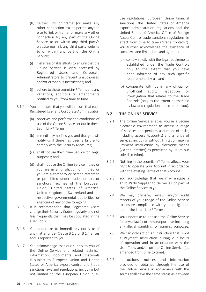- (h) neither link or frame (or make any other connection to) or permit anyone else to link or frame (or make any other connection to) any part of the Online Service to or within any third party's website nor link any third party website to or within any part of the Online Service;
- (i) make reasonable efforts to ensure that the Online Service is only accessed by Registered Users and Corporate Administrators to prevent unauthorised and/or erroneous Instructions; and
- (i) adhere to these LeumiLink® Terms and any variations, additions or amendments notified to you from time to time.
- B 1.4 You undertake that you will procure that each Registered User and Corporate Administrator:
	- (a) observes and performs the conditions of use of the Online Service set out in these LeumiLink® Terms;
	- (b) immediately notifies you and that you will notify us if there has been a failure to comply with the Security Measures;
	- (c) shall not use the Online Service for illegal purposes; and
	- (d) shall not use the Online Service if they or you are in a jurisdiction or if they or you are a company or person restricted or prohibited under trade controls or sanctions regimes of the European Union, United States of America, United Kingdom or Switzerland and the respective governmental authorities or agencies of any of the foregoing.
- B 1.5 It is recommended that Registered Users change their Security Codes regularly and not less frequently than may be stipulated in the User Tools.
- B 1.6 You undertake to immediately notify us if any matter under Clause B 1.3 or B 1.4 arises and is reported to you.
- B 1.7 You acknowledge that our supply to you of the Online Service and related technical information, documents and materials is subject to European Union and United States of America export control and trade sanctions laws and regulations, including but not limited to the European Union dual-

use regulations, European Union financial sanctions, the United States of America export administration regulations and the United States of America Office of Foreign Assets Control trade sanctions regulations, in effect from time to time ("Trade Controls"). You further acknowledge the existence of such laws and limitations and agree to:

- (a) comply strictly with the legal requirements established under the Trade Controls only to the extent that you have been informed of any such specific requirements by us; and
- (b) co-operate with us in any official or unofficial audit, inspection or investigation that relates to the Trade Controls (only to the extent permissible by law and regulation applicable to you).

# **B 2 THE ONLINE SERVICE**

- B 2.1 The Online Service enables you in a Secure electronic environment to access a range of services and perform a number of tasks, including access Account(s) and a range of services including without limitation making Payment Instructions by electronic means (via the internet) as permitted by us (at our sole discretion).
- B 2.2 Nothing in the LeumiLink® Terms affects your right to operate your Account in accordance with the existing Terms of that Account.
- B 2.3 You acknowledge that we may engage a Third Party Supplier to deliver all or part of the Online Service to you.
- B 2.4 We may prepare, review and/or audit reports of your usage of the Online Service to ensure compliance with your obligations under the LeumiLink® Terms.
- B 2.5 You undertake to not use the Online Service for any unlawful or immoral purpose, including any illegal gambling or gaming purposes.
- B 2.6 We can only act on an Instruction that is not a Payment Instruction during our hours of operation and in accordance with the User Tools and/or on the Online Service (as amended from time to time).
- B 2.7 Instructions, notices and information provided or obtained through the use of the Online Service in accordance with the Terms shall have the same status as between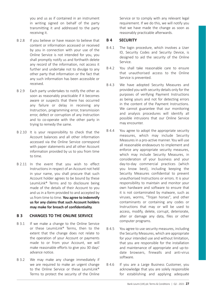you and us as if contained in an instrument in writing signed on behalf of the party transmitting it and addressed to the party receiving it.

- B 2.8 If you believe or have reason to believe that content or information accessed or received by you in connection with your use of the Online Service is not intended for you, you shall promptly notify us and forthwith delete any record of the information, not access it further and undertake not to divulge to any other party that information or the fact that any such information has been accessible or received.
- B 2.9 Each party undertakes to notify the other as soon as reasonably practicable if it becomes aware or suspects that there has occurred any failure or delay in receiving any Instruction, programming error, transmission error, defect or corruption of any Instruction and to co-operate with the other party in trying to remedy the same.
- B 2.10 It is your responsibility to check that the Account balances and all other information accessed via the Online Service correspond with paper statements and all other Account information provided by us to you from time to time.
- B 2.11 In the event that you wish to effect Instructions in respect of an Account not held in your name, you shall procure that such Account holder agrees to be bound by these LeumiLink® Terms and to disclosure being made of the details of their Account to you and us in a form provided to and accepted by us from time to time. **You agree to indemnify us for any claims that such Account holders may make for breach of confidentiality**.

# **B 3 CHANGES TO THE ONLINE SERVICE**

- B 3.1 If we make a change to the Online Service or these LeumiLink® Terms, then to the extent that the change does not relate to the operation of your Account or payments made to or from your Account, we will make reasonable efforts to give you 30 days' advance notice.
- B 3.2 We may make any change immediately if we are required to make an urgent change to the Online Service or these LeumiLink® Terms to protect the security of the Online

Service or to comply with any relevant legal requirement. If we do this, we will notify you that we have made the change as soon as reasonably practicable afterwards.

# **B 4 SECURITY**

- B 4.1 The login procedure, which involves a User ID, Security Codes and Security Device, is designed to aid the security of the Online Service.
- B 4.2 You shall take reasonable care to ensure that unauthorised access to the Online Service is prevented.
- B 4.3 We have adopted Security Measures and provided you with security details only for the purposes of verifying Payment Instructions as being yours and not for detecting errors in the content of the Payment Instructions. We cannot guarantee that our monitoring and analysis procedures will identify all possible intrusions that our Online Service may encounter.
- B 4.4 You agree to adopt the appropriate security measures, which may include Security Measures in a pro-active manner. You will use all reasonable endeavours to implement and enforce any appropriate security measures, which may include Security Measures, in consideration of your business and your day-to-day commercial practices (which you know best), including keeping the Security Measures confidential to prevent unauthorised Instructions or errors. It is your responsibility to maintain and monitor your own hardware and software to ensure that it is not contaminated by malware, such as viruses, worms, "Trojan horses", and other contaminants or containing any codes or Instructions that may or will be used to access, modify, delete, corrupt, deteriorate, alter or damage any data, files or other computer programs.
- B 4.5 You agree to use security measures, including the Security Measures, which are appropriate for your intended use and without limitation that you are responsible for the installation and maintenance of appropriate and up-todate browsers, firewalls and anti-virus software.
- B 4.6 If you are a Large Business Customer, you acknowledge that you are solely responsible for establishing and applying adequate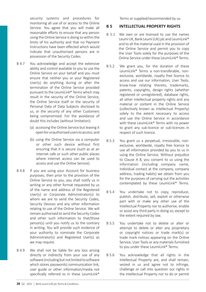security systems and procedures for monitoring all use of or access to the Online Service. You agree that you will make all reasonable efforts to ensure that any person using the Online Service is doing so within the limits of his authority and that no Payment Instructions have been effected which would indicate that unauthorised persons are in possession of the Security Codes.

- B 4.7 You acknowledge and accept the extensive ability and control available to you to use the Online Service on your behalf and you must ensure that neither you or your Registered User(s) do anything during or after the termination of the Online Service provided pursuant to the LeumiLink® Terms which may result in the security of the Online Service, the Online Service itself or the security of Personal Data of Data Subjects disclosed to us, or the security of any other Customers being compromised. For the avoidance of doubt this includes (without limitation):
	- (a) accessing the Online Service but leaving it open for unauthorised users to access; and
	- (b) using the Online Service via a computer or other such device without first ensuring that it is secure (such as at an internet cafe or such other public places where internet access can be used to access and use the Online Service).
- B 4.8 If you are using your Account for business purposes, then prior to the provision of the Online Service to you, you shall notify us in writing or any other format requested by us of the name and address of the Registered User(s) or Corporate Administrator(s) to whom we are to send the Security Codes, Security Devices and any other information relating to use of the Online Service. We will remain authorised to send the Security Codes and other such information to that/those person(s) until you notify us to the contrary in writing. You will provide such evidence of your authority to nominate the Corporate Administrator(s) and Registered User(s) as we may require.
- B 4.9 We shall not be liable for any loss arising directly or indirectly from your use of any software (including but not limited to software which stores passwords) communication link, user guide or other information/media not specifically referred to in these LeumiLink®

Terms or supplied/recommended by us.

# **B 5 INTELLECTUAL PROPERTY RIGHTS**

- B 5.1 We own or are licensed to use the names Leumi UK, Bank Leumi (UK) plc and LeumiLink® and to all the material used in the provision of the Online Service and permit you to copy the User Tools solely for the purposes of the Online Service under these LeumiLink® Terms
- B 5.2 We grant you, for the duration of these LeumiLink® Terms a non-transferable, nonexclusive, worldwide, royalty free licence to access and use our information, User Tools, know-how relating thereto, trademarks, patents, copyrights, design rights (whether registered or unregistered), database rights, all other intellectual property rights and any material or content in the Online Service (collectively known as Intellectual Property) solely to the extent necessary to access and use the Online Service in accordance with these LeumiLink® Terms with no power to grant any sub-licence or sub-licences in respect of such licence.
- B 5.3 You grant us a perpetual, irrevocable, nonexclusive, worldwide, royalty free licence to use all information provided by you to us in using the Online Service. Without prejudice to Clause A 8, you consent to us using the information (including company name, individual contact at the company, company address, trading habits) we obtain from you for the purposes of carrying out the activities contemplated by these LeumiLink® Terms.
- B 5.4 You undertake not to copy, reproduce, publish, distribute, sell, exploit or otherwise part with or make any other use of the Intellectual Property nor to authorise, enable or assist any third party in doing so, except to the extent required by law.
- B 5.5 You undertake not to delete or alter or attempt to delete or alter any proprietary or copyright notices or trade mark(s) or trade mark notices appearing on the Online Service, User Tools or any materials furnished to you under these LeumiLink® Terms.
- B 5.6 You acknowledge that all rights in the Intellectual Property are, and shall remain, vested in us and agree not to infringe, challenge or call into question our rights in the Intellectual Property nor to do or permit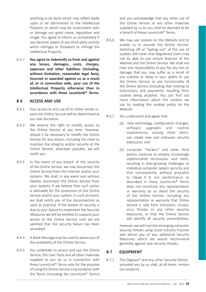anything to be done which may reflect badly upon or be detrimental to the Intellectual Property or which may be inconsistent with or damage our good name, reputation and image. You agree to inform us immediately if you become aware of any third party activity which infringes or threatens to infringe the Intellectual Property.

B 5.7 **You agree to indemnify us from and against any losses, damages, costs, charges, expenses and other liabilities (including, without limitation, reasonable legal fees), incurred or awarded against us as a result of, or in connection with, your use of the Intellectual Property otherwise than in accordance with these LeumiLink® Terms.**

#### **B 6 ACCESS AND USE**

- B 6.1 Your access to and use of (in either whole or part) the Online Service will be determined at our sole discretion.
- B 6.2 We reserve the right to modify access to the Online Service at any time. However, should it be necessary to modify the Online Service for any reason, including the need to maintain the integrity and/or security of the Online Service, wherever possible, we will notify you.
- B 6.3 In the event of any breach of the security of the Online Service, we may disconnect the Online Service from the internet and/or your systems. We shall, in any event and without liability, disconnect the Online Service from your systems if we believe that such action is advisable for the protection of the Online Service and/or your system. In such an event, we shall notify you of the disconnection as soon as practical. If the breach of security is due to your failure to implement the Security Measures we will be entitled to suspend your access to the Online Service until we are satisfied that the security failure has been remedied.
- B 6.4 A Bank Message may be used to advise you of the availability of the Online Service.
- B 6.5 You undertake to access and use the Online Service, the User Tools and all other materials supplied to you by us in connection with these LeumiLink® Terms only for the purpose of using the Online Service in accordance with the Terms (including the LeumiLink® Terms)

and you acknowledge that any other use of the Online Service or any other materials supplied by us to you shall be deemed to be a breach of these Leumil ink® Terms

- B 6.6 We may use cookies on the Website and to enable us to provide the Online Service. Switching off or "opting out" of the use of cookies will mean that Registered Users may not be able to use certain features of the Website and the Online Service. We shall not have any responsibility to you for any loss or damage that you may suffer as a result of any inability or delay in your ability to use the Online Service or any functionality of the Online Service (including that relating to Instructions and payments) resulting from cookies being disabled. You can find out more information about the cookies we use by reading the cookies policy on the Website.
- B 6.7 You understand and agree that:
	- (a) new technology, configuration changes, software upgrades and routine maintenance, among other items, can create new and unknown security exposures; and
	- (b) computer "hackers" and other third parties continue to employ increasingly sophisticated techniques and tools, resulting in ever-growing challenges to individual computer system security and that consequently, without prejudice to Clause A 8, our performance as described in these LeumiLink® Terms does not constitute any representation or warranty by us about the security of the Online Service, including any representation or warranty that Online Service is safe from intrusions, viruses, virus threats or any other security exposures, or that the Online Service will identify all security vulnerabilities,

however, we will monitor emerging computer security threats using Good Industry Practice and advise you of any additional Security Measures which we would recommend generally against new security threats.

# **B 7 EQUIPMENT**

B 7.1 The Digipass® and any other Security Device provided you by us shall, at all times, remain our property.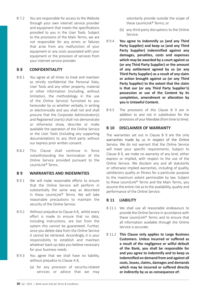**30** Q2 - 2021 | Bank Leumi (UK) plc Terms & Conditions

B 7.2 You are responsible for access to the Website through your own internet service provider and equipment that meets the specifications provided to you in the User Tools. Subject to the provisions of the Main Terms, we are not responsible for any errors or failures that arise from any malfunction of your equipment or any costs associated with your equipment or the provision of services from your internet service provider.

# **B 8 CONFIDENTIALITY**

- B 8.1 You agree at all times to treat and maintain as strictly confidential the Personal Data, User Tools and any other property, material or other information (including, without limitation, the methodology in the use of the Online Service) furnished to you hereunder by us whether verbally, in writing or electronically and you shall not and shall procure that the Corporate Administrator(s) and Registered User(s) shall not demonstrate or otherwise show, describe or make available the operation of the Online Service or the User Tools (including any supporting documentation) to any third party without our express prior written consent.
- B 8.2 This Clause shall continue in force notwithstanding the termination of the Online Service provided pursuant to the LeumiLink® Terms.

# **B 9 WARRANTIES AND INDEMNITIES**

- B 9.1 We will make reasonable efforts to ensure that the Online Service will perform in substantially the same way as described in these LeumiLink® Terms. We will take reasonable precautions to maintain the security of the Online Service.
- B 9.2 Without prejudice to Clause A 8, whilst every effort is made to ensure that no data, including Instructions, are lost from the system this cannot be guaranteed. Further, once you delete data from the Online Service it cannot be retrieved. Accordingly, it is your responsibility to establish and maintain whatever back-up data you believe necessary for your business needs.
- B 9.3 You agree that we shall have no liability, without prejudice to Clause A 8.
	- (a) for any provision of security-related services or advice that we may

voluntarily provide outside the scope of these LeumiLink® Terms: or

- (b) any third party disruptions to the Online Service.
- B 9.4 **You agree to indemnify us (and any Third Party Supplier) and keep us (and any Third Party Supplier) indemnified against any damages, penalties, costs and expenses which may be awarded by a court against us (or any Third Party Supplier) or the amount of any settlement agreed by us (or any Third Party Supplier) as a result of any claim or action brought against us (or any Third Party Supplier) to the extent that the claim is that our (or any Third Party Supplier's) possession or use of the Content by its completion, amendment or alteration by you is Unlawful Content.**
- B 9.5 The provisions of this Clause B 9 are in addition to and not in substitution for the provisions of your Mandate (from time to time).

# **B 10 DISCLAIMER OF WARRANTY**

The warranties set out in Clause B 9 are the only warranties made by us in respect of the Online Service. We do not warrant that the Online Service will meet your specific requirements. Subject to Clause B 9, we make no warranty of any kind, either express or implied, with respect to the use of the Online Service. We disclaim any and all statutorily or otherwise implied warranties, including of quality, satisfactory quality or fitness for a particular purpose to the maximum extent permissible by law. Subject to these LeumiLink® Terms and the Main Terms, you assume the entire risk as to the availability, quality and performance of the Online Service.

#### **B 11 LIABILITY**

- B 11.1 We shall use all reasonable endeavours to provide the Online Service in accordance with these LeumiLink® Terms and to ensure that all information available through the Online Service is accurate.
- B 11.2 **This Clause only applies to Large Business Customers. Unless incurred or suffered as a result of the negligence or wilful default of the Bank, you shall be responsible for and you agree to indemnify and to keep us indemnified on demand from and against all costs, losses, claims, damages and demands which may be incurred or suffered directly or indirectly by us as consequence of:**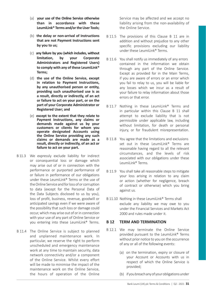- (a) **your use of the Online Service otherwise than in accordance with these LeumiLink® Terms and/or the User Tools;**
- (b) **the delay or non-arrival of Instructions that are not Payment Instructions sent by you to us;**
- (c) **any failure by you (which includes, without limitation, by your Corporate Administrators and Registered Users) to comply with any of these LeumiLink® Terms;**
- (d) **the use of the Online Service, except in relation to Payment Instructions, by any unauthorised person or entity, providing such unauthorised use is as a result, directly or indirectly, of an act or failure to act on your part, or on the part of your Corporate Administrator or Registered User; and**
- (e) **except to the extent that they relate to Payment Instructions, any claims or demands made against us by your customers or clients for whom you operate designated Accounts using the Online Service providing any such claims or demands are made as a result, directly or indirectly, of an act or failure to act on your part.**
- B 11.3 We expressly exclude liability for indirect or consequential loss or damage which may arise out of or in connection with the performance or purported performance of or failure in performance of our obligations under these LeumiLink® Terms or the use of the Online Service and for loss of or corruption to data (except for the Personal Data of the Data Subjects disclosed to us by you), loss of profit, business, revenue, goodwill or anticipated savings even if we were aware of the possibility that such loss or damage could occur, which may arise out of or in connection with your use of any part of Online Service or you entering into these LeumiLink® Terms.
- B 11.4 The Online Service is subject to planned and unplanned maintenance work. In particular, we reserve the right to perform unscheduled and emergency maintenance work at any time to maintain security, data network connectivity and/or a component of the Online Service. Whilst every effort will be made to minimise the impact of the maintenance work on the Online Service, the hours of operation of the Online

Service may be affected and we accept no liability arising from the non-availability of the Online Service.

- B 11.5 The provisions of this Clause B 11 are in addition and without prejudice to any other specific provisions excluding our liability under these LeumiLink® Terms.
- B 11.6 You shall notify us immediately of any errors contained in the information we obtain through any part of the Online Service. Except as provided for in the Main Terms, if you are aware of errors or an error which you fail to relay to us, you will be liable for any losses which we incur as a result of your failure to relay information about those errors or that error.
- B 11.7 Nothing in these LeumiLink® Terms and in particular within this Clause B 11 shall attempt to exclude liability that is not permissible under applicable law, including without limitation, for death or personal injury, or for fraudulent misrepresentation.
- B 11.8 You agree that the limitations and exclusions set out in these LeumiLink<sup>®</sup> Terms are reasonable having regard to all the relevant circumstances, and the levels of risk associated with our obligations under these LeumiLink® Terms.
- B 11.9 You shall take all reasonable steps to mitigate your loss arising in relation to any claim or action (whether for negligence, breach of contract or otherwise) which you bring against us.
- B 11.10 Nothing in these LeumiLink® Terms shall exclude any liability we may owe to you under the Financial Services and Markets Act 2000 and rules made under it.

#### **B 12 TERM AND TERMINATION**

- B 12.1 We may terminate the Online Service provided pursuant to the LeumiLink® Terms without prior notice to you on the occurrence of any or all of the following events:
	- (a) on the termination, expiry or closure of your Account or Accounts with us in respect of which the Online Service is provided;
	- (b) if you breach any of your obligations under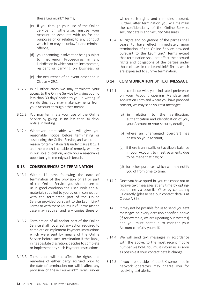these LeumiLink® Terms:

- (c) if you through your use of the Online Service or otherwise, misuse your Account or Accounts with us for the purposes of or relating to any conduct which is or may be unlawful or a criminal offence;
- (d) you becoming Insolvent or being subject to Insolvency Proceedings in any jurisdiction in which you are incorporated. resident or carrying on business; or
- (e) the occurrence of an event described in Clause A 29.1.
- B 12.2 In all other cases we may terminate your access to the Online Service by giving you no less than 30 days' notice to you in writing. If we do this, you may make payments from your Account through other means.
- B 12.3 You may terminate your use of the Online Service by giving us no less than 30 days' notice in writing.
- B 12.4 Wherever practicable we will give you reasonable notice before terminating or suspending the Online Service, and where the reason for termination falls under Clause B 12.1 and the breach is capable of remedy, we may, in our sole discretion, allow you a reasonable opportunity to remedy such breach.

#### **B 13 CONSEQUENCES OF TERMINATION**

- B 13.1 Within 14 days following the date of termination of the provision of all or part of the Online Service you shall return to us in good condition the User Tools and all materials supplied to you by us in connection with the terminated part of the Online Service provided pursuant to the LeumiLink® Terms or with these LeumiLink® Terms (as the case may require) and any copies there of.
- B 13.2 Termination of all and/or part of the Online Service shall not affect any action required to complete or implement Payment Instructions which were sent by means of the Online Service before such termination if the Bank, in its absolute discretion, decides to complete or implement any such Payment Instructions.
- B 13.3 Termination will not affect the rights and remedies of either party accrued prior to the date of termination nor will it affect any provision of these LeumiLink® Terms under

which such rights and remedies accrued. Further, after termination you will maintain the confidentiality of the Online Service, security details and Security Measures.

B 13.4 All rights and obligations of the parties shall cease to have effect immediately upon termination of the Online Service provided pursuant to the LeumiLink® Terms except that termination shall not affect the accrued rights and obligations of the parties under those clauses in the LeumiLink® Terms which are expressed to survive termination.

# **B 14 COMMUNICATION BY TEXT MESSAGE**

- B 14.1 In accordance with your indicated preference on your Account opening Mandate and Application Form and where you have provided consent, we may send you text messages:
	- (a) in relation to the verification authentication and identification of you, your Account or your security details;
	- (b) where an unarranged overdraft has arisen on your Account;
	- (c) if there is an insufficient available balance in your Account to meet payments due to be made that day; or
	- (d) for other purposes which we may notify you of from time to time.
- B 14.2 Once you have opted-in, you can chose not to receive text messages at any time by optingout online via LeumiLink® or by contacting us directly (please see our contact details at Clause A 35).
- B 14.3 It may not be possible for us to send you text messages on every occasion specified above (if, for example, we are updating our systems) and you must continue to monitor your Account carefully yourself.
- B 14.4 We will send text messages in accordance with the above, to the most recent mobile number we hold. You must inform us as soon as possible if your contact details change.
- B 14.5 If you are outside of the UK some mobile network operators may charge you for receiving text alerts.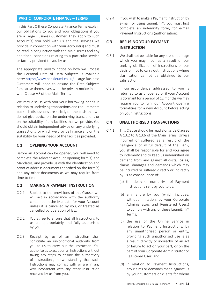# **PART C CORPORATE FINANCE – TERMS**

In this Part C these Corporate Finance Terms explain our obligations to you and your obligations if you are a Large Business Customer. They apply to such Account(s) you hold with us and the services we provide in connection with your Account(s) and must be read in conjunction with the Main Terms and any additional conditions relating to a particular service or facility provided to you by us.

The appropriate privacy notice on how we Process the Personal Data of Data Subjects is available here: https://www.bankleumi.co.uk/. Large Business Customers will need to ensure the Data Subjects familiarise themselves with the privacy notice in line with Clause A 8 of the Main Terms.

We may discuss with you your borrowing needs in relation to underlying transactions and requirements but such discussions are strictly on the basis that we do not give advice on the underlying transactions or on the suitability of any facilities that we provide. You should obtain independent advice on any underlying transactions for which we provide finance and on the suitability for your needs of the facilities provided.

# **C 1 OPENING YOUR ACCOUNT**

Before an Account can be opened, you will need to complete the relevant Account opening form(s) and Mandates, and provide us with the identification and proof of address documents specified on the form(s) and any other documents as we may require from time to time.

# **C 2 MAKING A PAYMENT INSTRUCTION**

- C 2.1 Subject to the provisions of this Clause, we will act in accordance with the authority contained in the Mandate for your Account unless it is cancelled by you, or treated as cancelled by operation of law.
- C 2.2 You agree to ensure that all Instructions to us are appropriately and fully authorised by you.
- C 2.3 Receipt by us of an Instruction shall constitute an unconditional authority from you to us to carry out the Instruction. You authorise us to act upon all Instructions without taking any steps to ensure the authenticity of Instructions, notwithstanding that such Instructions may conflict with or are in any way inconsistent with any other Instruction received by us from you.

C 2.4 If you wish to make a Payment Instruction by e-mail, or using LeumiLink®, you must first complete an indemnity form, for e-mail Payment Instructions (authorisation).

# **C 3 REFUSING YOUR PAYMENT INSTRUCTION**

- C 3.1 We shall not be liable for any loss or damage which you may incur as a result of our seeking clarification of Instructions or our decision not to carry out Instructions where clarification cannot be obtained to our satisfaction.
- C 3.2 If correspondence addressed to you is returned to us unopened or if your Account is dormant for a period of 12 months we may require you to fulfil our Account opening formalities for a new Account before acting on your Instructions.

### **C 4 UNAUTHORISED TRANSACTIONS**

- C 4.1 This Clause should be read alongside Clauses A 13.2 to A 13.6 of the Main Terms. Unless incurred or suffered as a result of the negligence or wilful default of the Bank, you shall be responsible for and you agree to indemnify and to keep us indemnified on demand from and against all costs, losses, claims, damages and demands which may be incurred or suffered directly or indirectly by us as consequence of:
	- (a) the delay or non-arrival of Payment Instructions sent by you to us;
	- (b) any failure by you (which includes, without limitation, by your Corporate Administrators and Registered Users) to comply with any of these LeumiLink® Terms;
	- (c) the use of the Online Service in relation to Payment Instructions, by any unauthorised person or entity, providing such unauthorised use is as a result, directly or indirectly, of an act or failure to act on your part, or on the part of your Corporate Administrator or Registered User; and
	- (d) in relation to Payment Instructions, any claims or demands made against us by your customers or clients for whom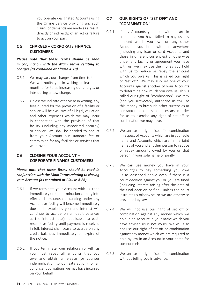you operate designated Accounts using the Online Service providing any such claims or demands are made as a result, directly or indirectly, of an act or failure to act on your part.

# **C 5 CHARGES – CORPORATE FINANCE CUSTOMERS**

*Please note that these Terms should be read in conjunction with the Main Terms relating to charges (as contained at Clause A 18).*

- C 5.1 We may vary our charges from time to time. We will notify you in writing at least one month prior to us increasing our charges or introducing a new charge.
- C 5.2 Unless we indicate otherwise in writing, any fees quoted for the provision of a facility or service will be exclusive of all legal, valuation and other expenses which we may incur in connection with the provision of that facility (including any associated security) or service. We shall be entitled to deduct from your Account our standard fee or commission for any facilities or services that we provide.

# **C 6 CLOSING YOUR ACCOUNT – CORPORATE FINANCE CUSTOMERS**

*Please note that these Terms should be read in conjunction with the Main Terms relating to closing your Account (as contained at Clause A 26).*

- C 6.1 If we terminate your Account with us, then immediately on the termination coming into effect, all amounts outstanding under any Account or facility will become immediately due and payable by you and interest will continue to accrue on all debit balances at the interest rate(s) applicable to each respective facility until payment is received in full. Interest shall cease to accrue on any credit balances immediately on expiry of the notice.
- C 6.2 If you terminate your relationship with us you must repay all amounts that you owe and obtain a release (or counter indemnification to our satisfaction) for all contingent obligations we may have incurred on your behalf.

# **C 7 OUR RIGHTS OF "SET OFF" AND "COMBINATION"**

- C 7.1 If any Accounts you hold with us are in credit and you have failed to pay us any amount which you owe on any other Accounts you hold with us anywhere (including any loan or card Accounts and those in different currencies) or otherwise under any facility or agreement you have with us, we may use the money you hold with us to reduce or repay the amount which you owe us. This is called our right of "set off". We may also set one of your Accounts against another of your Accounts to determine how much you owe us. This is called our right of "combination". We may (and you irrevocably authorise us to) use this money to buy such other currencies at our spot rate as may be necessary in order for us to exercise any right of set off or combination we may have.
- C 7.2 We can use our right of set off or combination in respect of Accounts which are in your sole name and Accounts which are in the joint names of you and another person to reduce or repay amounts owed by you or that person in your sole name or jointly.
- C 7.3 We can use money you have in your Account(s) to pay something you owe us as described above even if there is a court decision against you or you are fined (including interest arising after the date of the final decision or fine), unless the court instructs us otherwise, or we are otherwise prevented by law.
- C 7.4 We will not use our right of set off or combination against any money which we hold in an Account in your name which you have advised us is not yours. We will also not use our right of set off or combination against any money which we are required to hold by law in an Account in your name for someone else.
- C 7.5 We can use our right of set off or combination without telling you in advance.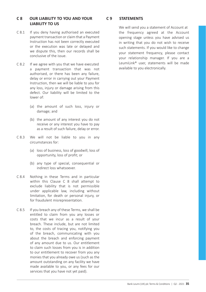# **C 8 OUR LIABILITY TO YOU AND YOUR LIABILITY TO US**

- C 8.1 If you deny having authorised an executed payment transaction or claim that a Payment Instruction has not been correctly executed or the execution was late or delayed and we dispute this, then our records shall be conclusive of the issue.
- C 8.2 If we agree with you that we have executed a payment transaction that was not authorised, or there has been any failure, delay or error in carrying out your Payment Instruction, then we will be liable to you for any loss, injury or damage arising from this defect. Our liability will be limited to the lower of:
	- (a) the amount of such loss, injury or damage; and
	- (b) the amount of any interest you do not receive or any interest you have to pay as a result of such failure, delay or error.
- C 8.3 We will not be liable to you in any circumstances for:
	- (a) loss of business, loss of goodwill, loss of opportunity, loss of profit; or
	- (b) any type of special, consequential or indirect loss whatsoever.
- C 8.4 Nothing in these Terms and in particular within this Clause C 8 shall attempt to exclude liability that is not permissible under applicable law, including without limitation, for death or personal injury, or for fraudulent misrepresentation.
- C 8.5 If you breach any of these Terms, we shall be entitled to claim from you any losses or costs that we incur as a result of your breach. These include, but are not limited to, the costs of tracing you, notifying you of the breach, communicating with you about the breach and enforcing payment of any amount due to us. Our entitlement to claim such losses from you is in addition to our entitlement to recover from you any monies that you already owe us (such as the amount outstanding on any facility we have made available to you, or any fees for our services that you have not yet paid).

# **C 9 STATEMENTS**

We will send you a statement of Account at the frequency agreed at the Account opening stage unless you have advised us in writing that you do not wish to receive such statements. If you would like to change your statement frequency, please contact your relationship manager. If you are a LeumiLink® user, statements will be made available to you electronically.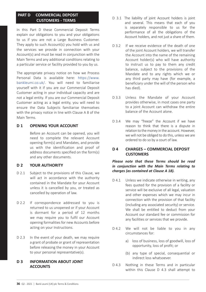# **PART D COMMERCIAL DEPOSIT CUSTOMERS - TERMS**

In this Part D these Commercial Deposit Terms explain our obligations to you and your obligations to us if you are not a Large Business Customer. They apply to such Account(s) you hold with us and the services we provide in connection with your Account(s) and must be read in conjunction with the Main Terms and any additional conditions relating to a particular service or facility provided to you by us.

The appropriate privacy notice on how we Process Personal Data is available here: https://www. bankleumi.co.uk/. You will need to familiarise yourself with it if you are our Commercial Deposit Customer acting in your individual capacity and are not a legal entity. If you are our Commercial Deposit Customer acting as a legal entity, you will need to ensure the Data Subjects familiarise themselves with the privacy notice in line with Clause A 8 of the Main Terms.

# **D 1 OPENING YOUR ACCOUNT**

Before an Account can be opened, you will need to complete the relevant Account opening form(s) and Mandates, and provide us with the identification and proof of address documents specified on the form(s) and any other documents.

# **D 2 YOUR AUTHORITY**

- D 2.1 Subject to the provisions of this Clause, we will act in accordance with the authority contained in the Mandate for your Account unless it is cancelled by you, or treated as cancelled by operation of law.
- D 2.2 If correspondence addressed to you is returned to us unopened or if your Account is dormant for a period of 12 months we may require you to fulfil our Account opening formalities for new Accounts before acting on your Instructions.
- D 2.3 In the event of your death, we may require a grant of probate or grant of representation before releasing the money in your Account to your personal representative(s).

# **D 3 INFORMATION ABOUT JOINT ACCOUNTS**

- D 3.1 The liability of joint Account holders is joint and several. This means that each of you is separately responsible to us for the performance of all the obligations of the Account holders, and not just a share of them.
- D 3.2 If we receive evidence of the death of one of the joint Account holders, we will transfer the Account into the name of the remaining Account holder(s) who will have authority to instruct us to pay to them any credit balance, subject to the provisions of the Mandate and to any rights which we or any third party may have (for example, a beneficiary under the will of the person who has died).
- D 3.3 Unless the Mandate of your Account provides otherwise, in most cases one party to a joint Account can withdraw the entire balance of the Account alone.
- D 3.4 We may "freeze" the Account if we have reason to think that there is a dispute in relation to the money in the account. However, we will not be obliged to do this, unless we are ordered to do so by a court of law.

# **D 4 CHARGES – COMMERCIAL DEPOSIT CUSTOMERS**

# *Please note that these Terms should be read in conjunction with the Main Terms relating to charges (as contained at Clause A 18).*

- D 4.1 Unless we indicate otherwise in writing, any fees quoted for the provision of a facility or service will be exclusive of all legal, valuation and other expenses which we may incur in connection with the provision of that facility (including any associated security) or service. We shall be entitled to deduct from your Account our standard fee or commission for any facilities or services that we provide.
- D 4.2 We will not be liable to you in any circumstances for:
	- a) loss of business, loss of goodwill, loss of opportunity, loss of profit; or
	- (b) any type of special, consequential or indirect loss whatsoever.
- D 4.3 Nothing in these Terms and in particular within this Clause D 4.3 shall attempt to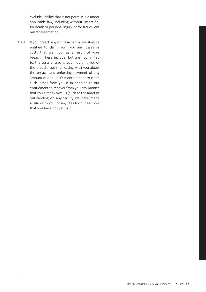exclude liability that is not permissible under applicable law, including without limitation, for death or personal injury, or for fraudulent misrepresentation.

D 4.4 If you breach any of these Terms, we shall be entitled to claim from you any losses or costs that we incur as a result of your breach. These include, but are not limited to, the costs of tracing you, notifying you of the breach, communicating with you about the breach and enforcing payment of any amount due to us. Our entitlement to claim such losses from you is in addition to our entitlement to recover from you any monies that you already owe us (such as the amount outstanding on any facility we have made available to you, or any fees for our services that you have not yet paid).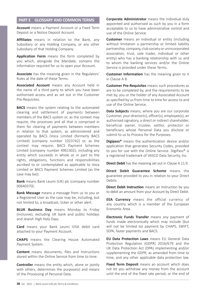# **PART E GLOSSARY AND COMMON TERMS**

**Account** means a Payment Account or a Fixed Term Deposit or a Notice Deposit Account.

**Affiliates** means in relation to the Bank, any Subsidiary or any Holding Company, or any other Subsidiary of that Holding Company.

**Application Form** means the form completed by you which, alongside the Mandate, contains the information required for us to open your Account.

**Associate** has the meaning given in the Regulators' Rules at the date of these Terms.

**Associated Account** means any Account held in the name of a third party to which you have been authorised access and as set out in the Customer Pre-Requisites.

**BACS** means the system relating to the automated clearing and settlement of payments between members of the BACS system or, as the context may require, the processes and all that is comprised in them for clearing of payments between members in relation to that system, as administered and operated by BACS (Voca Limited (formerly BACS Limited) (company number 1023742) or, as the context may require, BACS Payment Schemes Limited (company number 4961302), including any entity which succeeds in whole or in part to the rights, obligations, functions and responsibilities ascribed to or contemplated as applicable to Voca Limited or BACS Payment Schemes Limited (as the case may be)).

**Bank** means Bank Leumi (UK) plc (company number 00640370).

**Bank Message** means a message from us to you or a Registered User as the case may be, including, but not limited to, a broadcast, ticker or other alert.

**BLUK Business Day** means Monday to Friday (inclusive), excluding UK bank and public holidays and Jewish High Holy Days.

**Card** means your Bank Leumi VISA debit card attached to your Payment Account.

**CHAPS** means the Clearing House Automated Payment System.

**Content** means documents, files and Instructions stored within the Online Service from time to time.

**Controller** means the entity which, alone or jointly with others, determines the purpose(s) and means of the Processing of Personal Data.

**Corporate Administrator** means the individual duly appointed and authorised as such by you in a form acceptable to us to have administrative control and use of the Online Service.

**Customer** means an individual or entity (including without limitation a partnership or limited liability partnership, company, club society or unincorporated association, trust, sole trader, individual or other entity) who has a banking relationship with us and to whom the banking services and/or the Online Service is provided under these Terms.

**Customer Information** has the meaning given to it in Clause A 8.

**Customer Pre-Requisites** means such procedures as are to be completed by, and the requirements to be met by, you or the holder of any Associated Account as specified by us from time to time for access to and use of the Online Service.

**Data Subjects** means, where you are our corporate Customer, your director(s), officer(s), employee(s), an authorised signatory, a direct or indirect shareholder, beneficial owner, trustee, settlor, protector or beneficiary whose Personal Data you disclose or submit to us to Process for the Purposes.

**Digipass®** means the authentication device and/or application that generates Security Codes, provided to you for use with the Online Service. DigiPass<sup>®</sup> is a registered trademark of VASCO Data Security, Inc.

**Direct Debit** has the meaning set out in Clause A 11.9.

**Direct Debit Guarantee Scheme** means the guarantee provided to you in relation to your Direct Debits.

**Direct Debit Instruction** means an Instruction by you to debit an amount from your Account by Direct Debit.

**EEA Currency** means the official currency of any country which is a member of the European Economic Area.

**Electronic Funds Transfer** means any payment of funds made electronically which may include (but will not be limited to) payment by CHAPS, SWIFT, SEPA, faster payments and BACS.

**EU Data Protection Laws** means EU General Data Protection Regulation (GDPR) 2016/679 and the UK Data Protection Act (DPA) implementing and/or supplementing the GDPR, as amended from time to time, and any other applicable data protection law.

**Fixed Term Deposit** means an account which does not let you withdraw any money from the account until the end of the fixed rate period, or the end of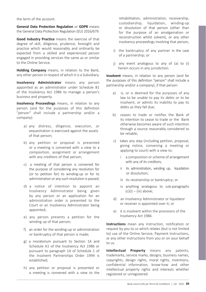the term of the account.

**General Data Protection Regulation** or **GDPR** means the General Data Protection Regulation (EU) 2016/679.

**Good Industry Practice** means the exercise of that degree of skill, diligence, prudence, foresight and practice which would reasonably and ordinarily be expected from a skilled and experienced person engaged in providing services the same as or similar to the Online Service.

**Holding Company** means, in relation to the Bank, any other person in respect of which it is a Subsidiary.

**Insolvency Administrator** means any person appointed as an administrator under Schedule B1 of the Insolvency Act 1986 to manage a person's business and property.

**Insolvency Proceedings** means, in relation to any person (and for the purposes of this definition "person" shall include a partnership and/or a company):

- a) any distress, diligence, execution, or sequestration is exercised against the assets of that person;
- b) any petition or proposal is presented or a meeting is convened with a view to a composition, assignment or arrangement with any creditors of that person;
- c) a meeting of that person is convened for the purpose of considering any resolution for (or to petition for) its winding-up or for its administration or any such resolution is passed;
- d) a notice of intention to appoint an Insolvency Administrator being given by any person or an application for an administration order is presented to the Court or an Insolvency Administrator being appointed;
- e) any person presents a petition for the winding up of that person;
- f) an order for the winding-up or administration or bankruptcy of that person is made;
- g) a moratorium pursuant to Section 1A and Schedule A1 of the Insolvency Act 1986 or pursuant to paragraph 1A of Schedule 1 of the Insolvent Partnerships Order 1994 is established;
- h) any petition or proposal is presented or a meeting is convened with a view to the

rehabilitation, administration, receivership, custodianship, liquidation, winding-up or dissolution of that person (other than for the purpose of an amalgamation or reconstruction whilst solvent), or any other insolvency proceedings involving that person;

- i) the bankruptcy of any partner in the case of a partnership; or
- j) any event analogous to any of (a) to (i) herein occurs in any jurisdiction.

**Insolvent** means, in relation to any person (and for the purposes of this definition "person" shall include a partnership and/or a company), if that person:

- a) is, or is deemed for the purposes of any law to be unable to pay its debts or to be insolvent, or admits its inability to pay its debts as they fall due;
- b) ceases to trade or notifies the Bank of its intention to cease to trade or the Bank otherwise becomes aware of such intention through a source reasonably considered to be reliable;
- c) takes any step (including petition, proposal, giving notice, convening a meeting or applying to court) with a view to:
	- i a composition or scheme of arrangement with any of its creditors:
	- ii its administration, winding up, liquidation or dissolution;
	- iii its receivership or bankruptcy; or
	- iv anything analogous to sub-paragraphs  $(c)(i) - (iii)$  above:
- d) an Insolvency Administrator or liquidator or receiver is appointed over it; or
- e) it is insolvent within the provisions of the Insolvency Act 1986.

**Instructions** mean any instruction, notification or request by you to us which relates (but is not limited to) use of the Online Service, Payment Instructions, or any other instructions from you or on your behalf to us.

**Intellectual Property** means any patents, trademarks, service marks, designs, business names, copyrights, design rights, moral rights, inventions, confidential information, know-how and other intellectual property rights and interests whether registered or unregistered.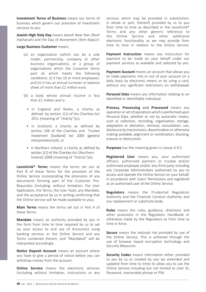**Investment Terms of Business** means our terms of business which govern our provision of investment services to you.

**Jewish High Holy Day** means Jewish New Year (Rosh Hashanah) and the Day of Atonement (Yom Kippur).

#### **Large Business Customer** means

- (a) an organisation (which can be a sole trader, partnership, company or other business organisation), or a group of organisations which the Customer forms part of, which meets the following conditions: (i) it has 10 or more employees; and (ii) it has an annual turnover or balance sheet of more than £2 million euro.
- (b) a body whose annual income is less than £1 million and is:
	- in England and Wales, a charity as defined by section 1(1) of the Charities Act 2011 (meaning of "charity")(c);
	- in Scotland, a charity as defined by section 106 of the Charities and Trustee Investment (Scotland) Act 2005 (general interpretation)(d); or
	- in Northern Ireland, a charity as defined by section 1(1) of the Charities Act (Northern Ireland) 2008 (meaning of "charity")(e).

**LeumiLink® Terms** means the terms set out at Part B of these Terms for the provision of the Online Service incorporating the provisions of any documents forming part of the Customer Pre-Requisites (including, without limitation, the User Application, the Terms, the User Tools, any Mandate, and the acceptance by us in writing confirming that the Online Service will be made available to you).

**Main Terms** means the terms set out in Part A of these Terms.

**Mandate** means an authority provided by you in the form from time to time required by us to set up your access to and use of Account(s) using banking services or the Online Service and any Terms contained therein, and "Mandated" will be interpreted accordingly.

**Notice Deposit Account** means an account where you have to give a period of notice before you can withdraw money from the account.

**Online Service** means the electronic services (including without limitation, Instructions or any services which may be provided in substitution, in whole or part, thereof) provided by us to you from time to time as described in the LeumiLink® Terms and any other generic reference to the Online Service and other additional electronic functionality as we may provide from time to time in relation to the Online Service.

**Payment Instruction** means any Instruction for payment to be made on your behalf under our payment services as available and selected by you.

**Payment Account** means an account that allows you to make payments into or out of your account on a daily basis by electronic means or by using a card, without any significant restrictions on withdrawals

**Personal Data** means any information relating to an identified or identifiable individual.

**Process, Processing** and **Processed** means any operation or set of operations which is performed upon Personal Data, whether or not by automatic means, such as collection, recording, organisation, storage, adaptation or alteration, retrieval, consultation, use, disclosure by transmission, dissemination or otherwise making available, alignment or combination, blocking, erasure or destruction.

**Purposes** has the meaning given in clause A 8.5.

**Registered User** means you, your authorised officers, authorised partners or trustee and/or authorised employee and/or any third party including any Corporate Administrators authorised by you to access and operate the Online Service on your behalf, in accordance with Users' Permissions and registered as an authorised user of the Online Service.

**Regulators** means the Prudential Regulation Authority and the Financial Conduct Authority and any replacement or substitute body.

**Rules** means the rules, guidance, directions and other provisions in the Regulators Handbook or otherwise made by the Regulators as from time to time in force.

**Secure** means the reduced risk provided by use of the Online Service. This is achieved through the use of browser based encryption technology and Security Measures.

**Security Codes** means information either provided to you by us or created by you (as amended and updated from time to time) to allow you to use the Online Service including but not limited to User ID, Password, memorable phrase or PIN.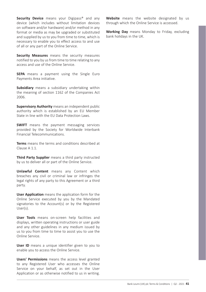**Security Device** means your Digipass<sup>®</sup> and any device (which includes without limitation devices on software and/or hardware) and/or method in any format or media as may be upgraded or substituted and supplied by us to you from time to time, which is necessary to enable you to effect access to and use of all or any part of the Online Service.

**Security Measures** means the security measures notified to you by us from time to time relating to any access and use of the Online Service.

**SEPA** means a payment using the Single Euro Payments Area initiative.

**Subsidiary** means a subsidiary undertaking within the meaning of section 1162 of the Companies Act 2006.

**Supervisory Authority** means an independent public authority which is established by an EU Member State in line with the EU Data Protection Laws.

**SWIFT** means the payment messaging services provided by the Society for Worldwide Interbank Financial Telecommunications.

**Terms** means the terms and conditions described at Clause A 1.1.

**Third Party Supplier** means a third party instructed by us to deliver all or part of the Online Service.

**Unlawful Content** means any Content which breaches any civil or criminal law or infringes the legal rights of any party to this Agreement or a third party.

**User Application** means the application form for the Online Service executed by you by the Mandated signatories to the Account(s) or by the Registered User(s).

**User Tools** means on-screen help facilities and displays, written operating instructions or user guide and any other guidelines in any medium issued by us to you from time to time to assist you to use the Online Service.

**User ID** means a unique identifier given to you to enable you to access the Online Service.

**Users' Permissions** means the access level granted to any Registered User who accesses the Online Service on your behalf, as set out in the User Application or as otherwise notified to us in writing. **Website** means the website designated by us through which the Online Service is accessed.

**Working Day** means Monday to Friday, excluding bank holidays in the UK.